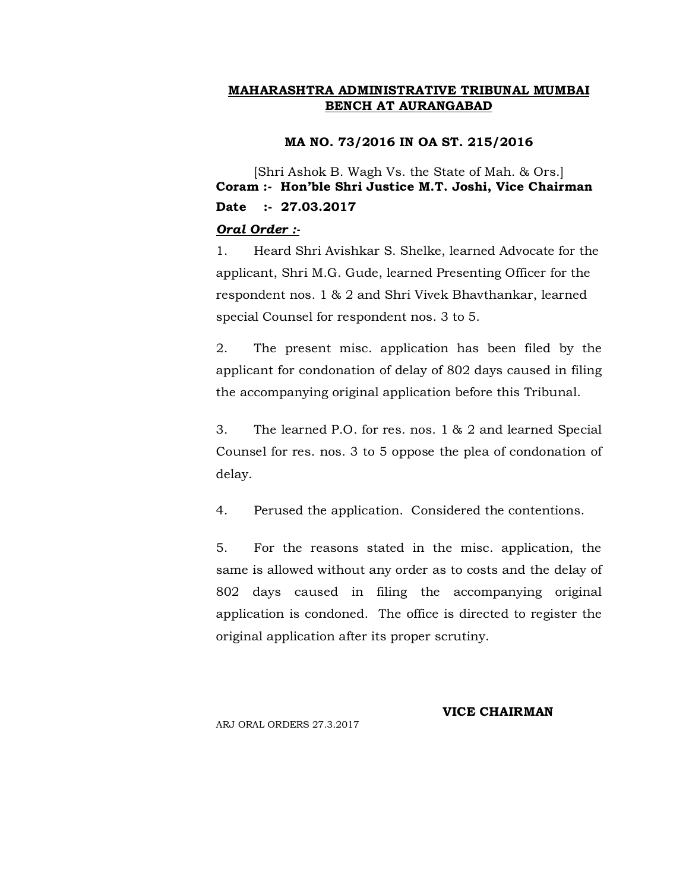#### **MA NO. 73/2016 IN OA ST. 215/2016**

[Shri Ashok B. Wagh Vs. the State of Mah. & Ors.] **Coram :- Hon'ble Shri Justice M.T. Joshi, Vice Chairman Date :- 27.03.2017**

## *Oral Order :-*

1. Heard Shri Avishkar S. Shelke, learned Advocate for the applicant, Shri M.G. Gude, learned Presenting Officer for the respondent nos. 1 & 2 and Shri Vivek Bhavthankar, learned special Counsel for respondent nos. 3 to 5.

2. The present misc. application has been filed by the applicant for condonation of delay of 802 days caused in filing the accompanying original application before this Tribunal.

3. The learned P.O. for res. nos. 1 & 2 and learned Special Counsel for res. nos. 3 to 5 oppose the plea of condonation of delay.

4. Perused the application. Considered the contentions.

5. For the reasons stated in the misc. application, the same is allowed without any order as to costs and the delay of 802 days caused in filing the accompanying original application is condoned. The office is directed to register the original application after its proper scrutiny.

ARJ ORAL ORDERS 27.3.2017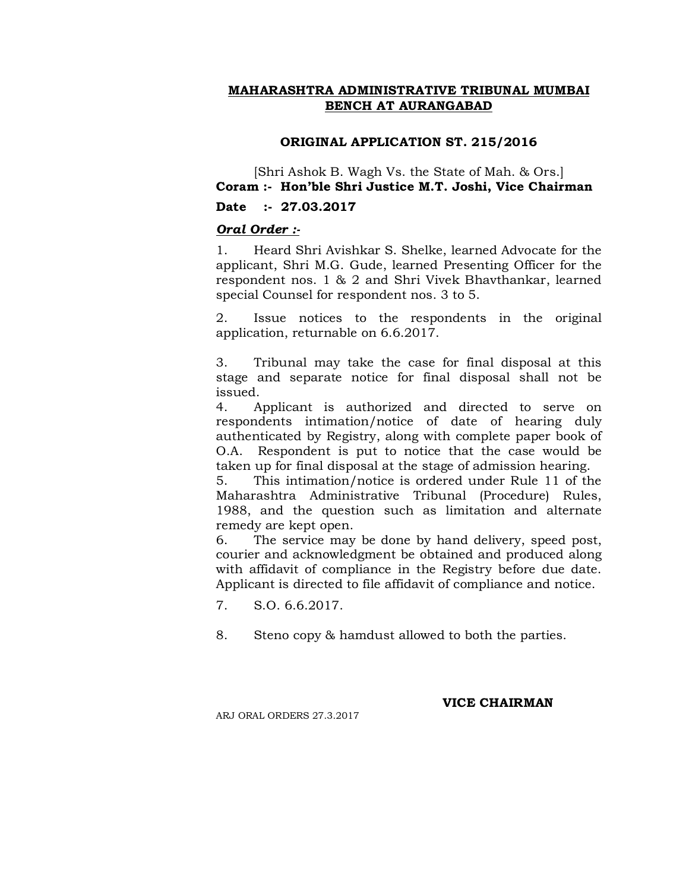## **ORIGINAL APPLICATION ST. 215/2016**

[Shri Ashok B. Wagh Vs. the State of Mah. & Ors.] **Coram :- Hon'ble Shri Justice M.T. Joshi, Vice Chairman**

**Date :- 27.03.2017**

## *Oral Order :-*

1. Heard Shri Avishkar S. Shelke, learned Advocate for the applicant, Shri M.G. Gude, learned Presenting Officer for the respondent nos. 1 & 2 and Shri Vivek Bhavthankar, learned special Counsel for respondent nos. 3 to 5.

2. Issue notices to the respondents in the original application, returnable on 6.6.2017.

3. Tribunal may take the case for final disposal at this stage and separate notice for final disposal shall not be issued.

4. Applicant is authorized and directed to serve on respondents intimation/notice of date of hearing duly authenticated by Registry, along with complete paper book of O.A. Respondent is put to notice that the case would be taken up for final disposal at the stage of admission hearing.

5. This intimation/notice is ordered under Rule 11 of the Maharashtra Administrative Tribunal (Procedure) Rules, 1988, and the question such as limitation and alternate remedy are kept open.

6. The service may be done by hand delivery, speed post, courier and acknowledgment be obtained and produced along with affidavit of compliance in the Registry before due date. Applicant is directed to file affidavit of compliance and notice.

7. S.O. 6.6.2017.

8. Steno copy & hamdust allowed to both the parties.

ARJ ORAL ORDERS 27.3.2017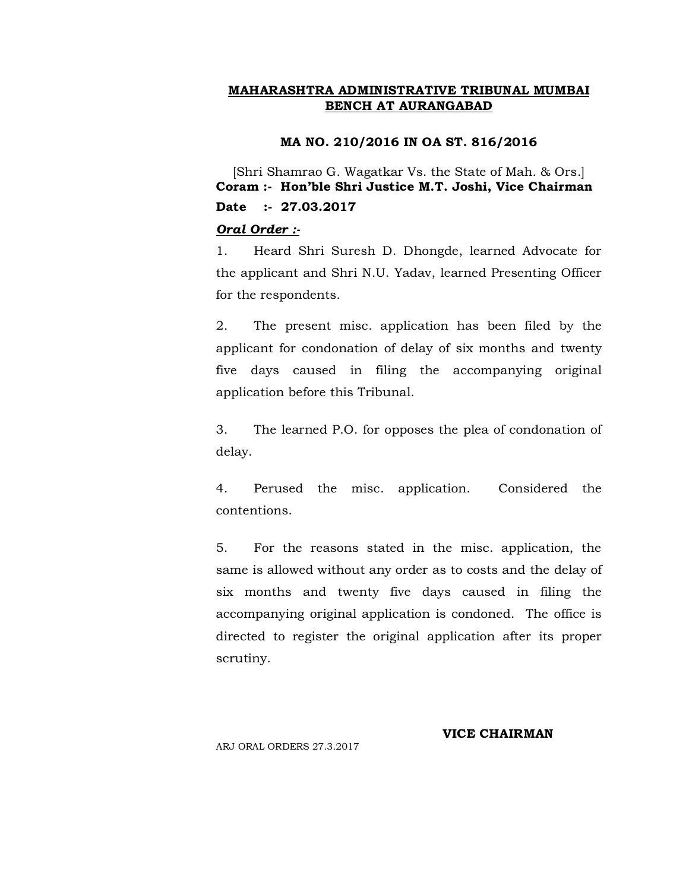#### **MA NO. 210/2016 IN OA ST. 816/2016**

[Shri Shamrao G. Wagatkar Vs. the State of Mah. & Ors.] **Coram :- Hon'ble Shri Justice M.T. Joshi, Vice Chairman Date :- 27.03.2017**

## *Oral Order :-*

1. Heard Shri Suresh D. Dhongde, learned Advocate for the applicant and Shri N.U. Yadav, learned Presenting Officer for the respondents.

2. The present misc. application has been filed by the applicant for condonation of delay of six months and twenty five days caused in filing the accompanying original application before this Tribunal.

3. The learned P.O. for opposes the plea of condonation of delay.

4. Perused the misc. application. Considered the contentions.

5. For the reasons stated in the misc. application, the same is allowed without any order as to costs and the delay of six months and twenty five days caused in filing the accompanying original application is condoned. The office is directed to register the original application after its proper scrutiny.

ARJ ORAL ORDERS 27.3.2017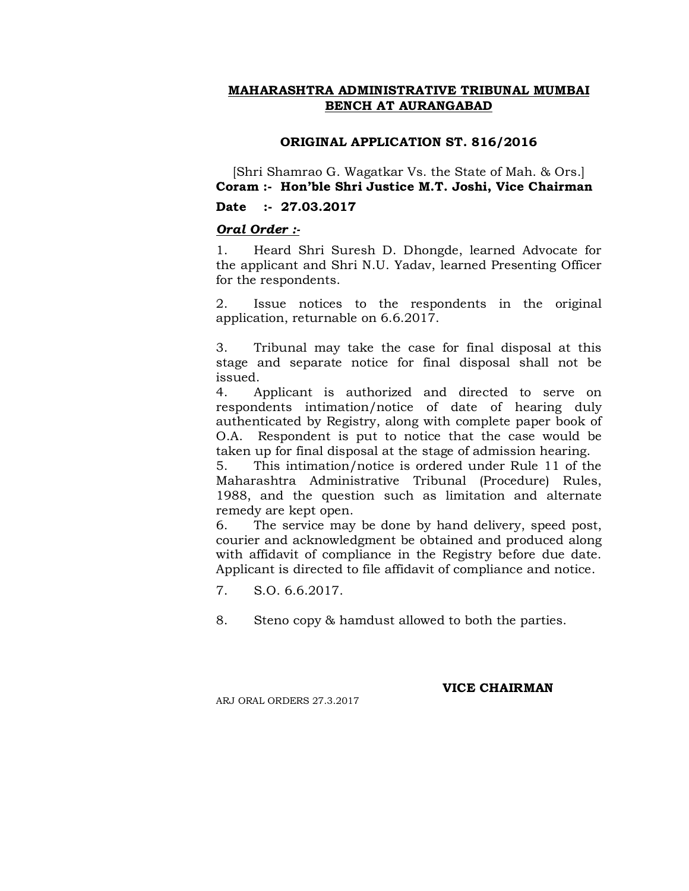## **ORIGINAL APPLICATION ST. 816/2016**

[Shri Shamrao G. Wagatkar Vs. the State of Mah. & Ors.] **Coram :- Hon'ble Shri Justice M.T. Joshi, Vice Chairman**

## **Date :- 27.03.2017**

## *Oral Order :-*

1. Heard Shri Suresh D. Dhongde, learned Advocate for the applicant and Shri N.U. Yadav, learned Presenting Officer for the respondents.

2. Issue notices to the respondents in the original application, returnable on 6.6.2017.

3. Tribunal may take the case for final disposal at this stage and separate notice for final disposal shall not be issued.

4. Applicant is authorized and directed to serve on respondents intimation/notice of date of hearing duly authenticated by Registry, along with complete paper book of O.A. Respondent is put to notice that the case would be taken up for final disposal at the stage of admission hearing.

5. This intimation/notice is ordered under Rule 11 of the Maharashtra Administrative Tribunal (Procedure) Rules, 1988, and the question such as limitation and alternate remedy are kept open.

6. The service may be done by hand delivery, speed post, courier and acknowledgment be obtained and produced along with affidavit of compliance in the Registry before due date. Applicant is directed to file affidavit of compliance and notice.

- 7. S.O. 6.6.2017.
- 8. Steno copy & hamdust allowed to both the parties.

**VICE CHAIRMAN**

ARJ ORAL ORDERS 27.3.2017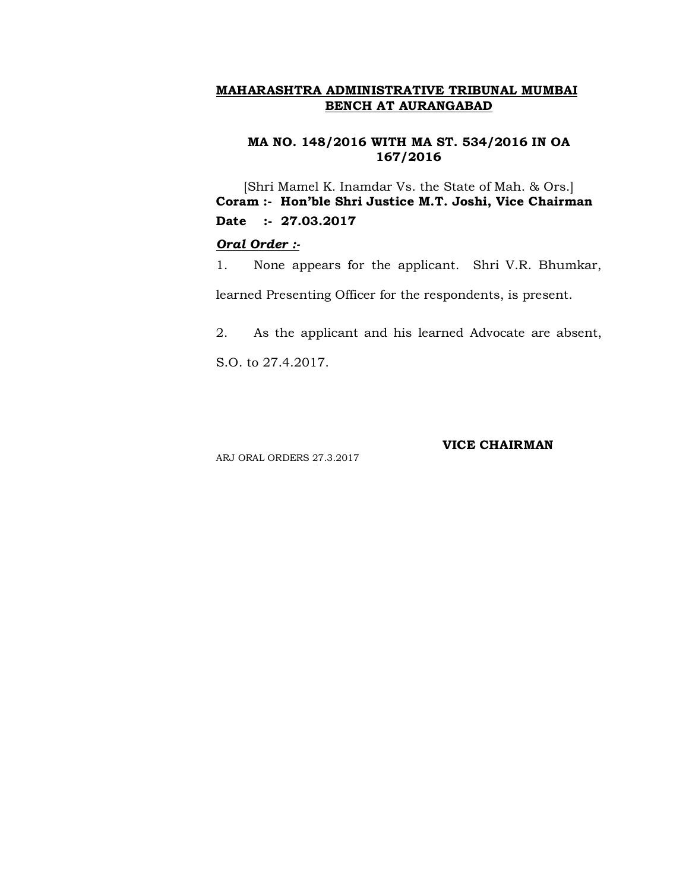#### **MA NO. 148/2016 WITH MA ST. 534/2016 IN OA 167/2016**

[Shri Mamel K. Inamdar Vs. the State of Mah. & Ors.] **Coram :- Hon'ble Shri Justice M.T. Joshi, Vice Chairman Date :- 27.03.2017**

#### *Oral Order :-*

1. None appears for the applicant. Shri V.R. Bhumkar,

learned Presenting Officer for the respondents, is present.

2. As the applicant and his learned Advocate are absent,

S.O. to 27.4.2017.

ARJ ORAL ORDERS 27.3.2017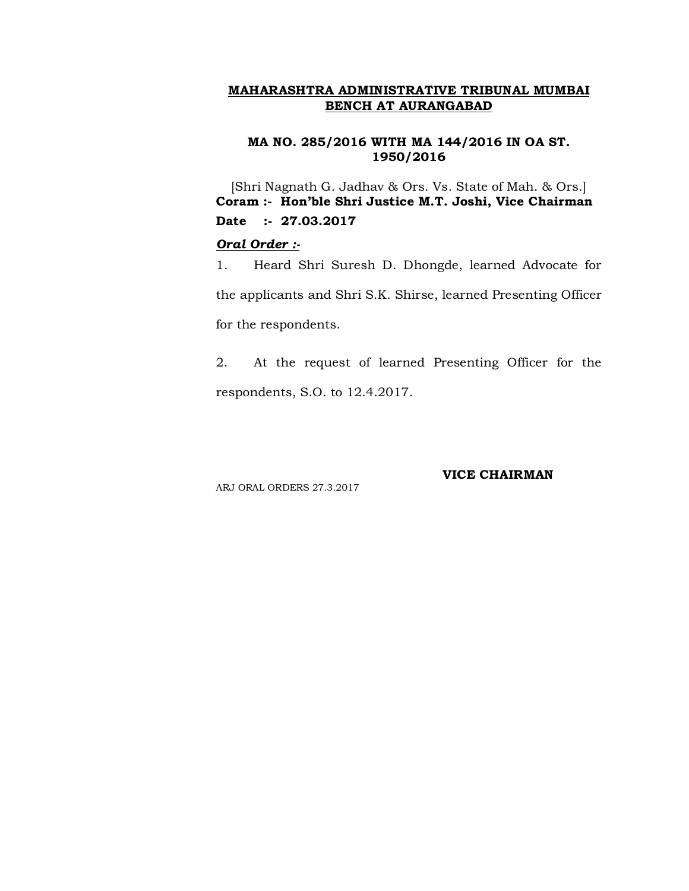#### **MA NO. 285/2016 WITH MA 144/2016 IN OA ST. 1950/2016**

[Shri Nagnath G. Jadhav & Ors. Vs. State of Mah. & Ors.] **Coram :- Hon'ble Shri Justice M.T. Joshi, Vice Chairman Date :- 27.03.2017**

## *Oral Order :-*

1. Heard Shri Suresh D. Dhongde, learned Advocate for the applicants and Shri S.K. Shirse, learned Presenting Officer for the respondents.

2. At the request of learned Presenting Officer for the respondents, S.O. to 12.4.2017.

ARJ ORAL ORDERS 27.3.2017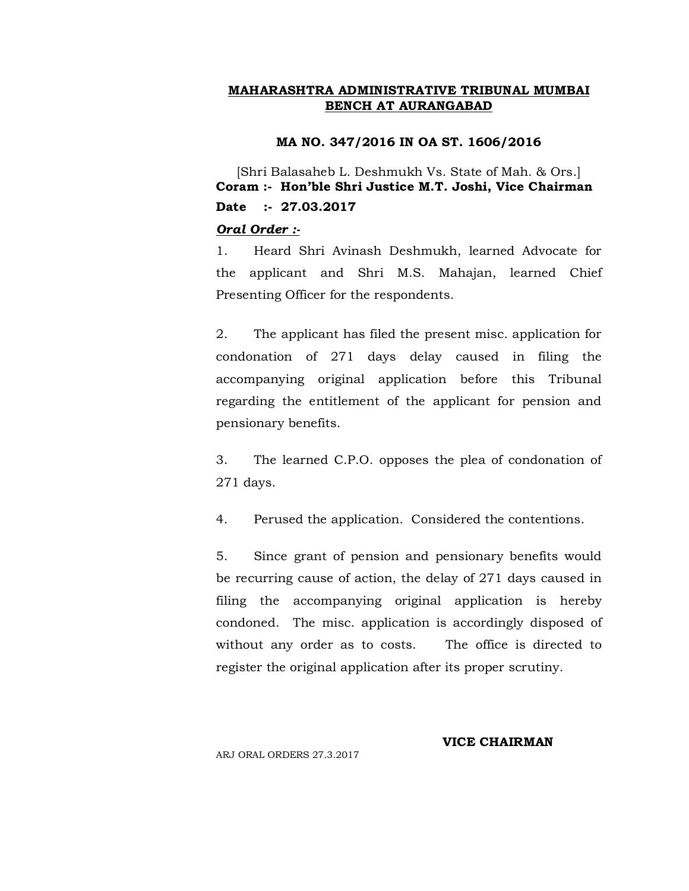#### **MA NO. 347/2016 IN OA ST. 1606/2016**

[Shri Balasaheb L. Deshmukh Vs. State of Mah. & Ors.] **Coram :- Hon'ble Shri Justice M.T. Joshi, Vice Chairman Date :- 27.03.2017**

#### *Oral Order :-*

1. Heard Shri Avinash Deshmukh, learned Advocate for the applicant and Shri M.S. Mahajan, learned Chief Presenting Officer for the respondents.

2. The applicant has filed the present misc. application for condonation of 271 days delay caused in filing the accompanying original application before this Tribunal regarding the entitlement of the applicant for pension and pensionary benefits.

3. The learned C.P.O. opposes the plea of condonation of 271 days.

4. Perused the application. Considered the contentions.

5. Since grant of pension and pensionary benefits would be recurring cause of action, the delay of 271 days caused in filing the accompanying original application is hereby condoned. The misc. application is accordingly disposed of without any order as to costs. The office is directed to register the original application after its proper scrutiny.

# **VICE CHAIRMAN**

ARJ ORAL ORDERS 27.3.2017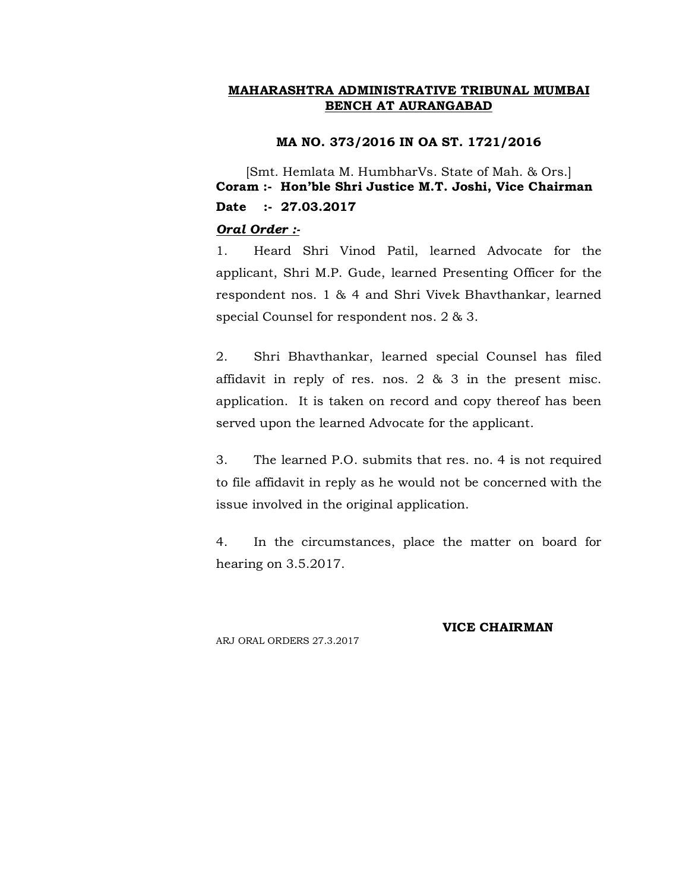#### **MA NO. 373/2016 IN OA ST. 1721/2016**

[Smt. Hemlata M. HumbharVs. State of Mah. & Ors.] **Coram :- Hon'ble Shri Justice M.T. Joshi, Vice Chairman Date :- 27.03.2017**

#### *Oral Order :-*

1. Heard Shri Vinod Patil, learned Advocate for the applicant, Shri M.P. Gude, learned Presenting Officer for the respondent nos. 1 & 4 and Shri Vivek Bhavthankar, learned special Counsel for respondent nos. 2 & 3.

2. Shri Bhavthankar, learned special Counsel has filed affidavit in reply of res. nos. 2 & 3 in the present misc. application. It is taken on record and copy thereof has been served upon the learned Advocate for the applicant.

3. The learned P.O. submits that res. no. 4 is not required to file affidavit in reply as he would not be concerned with the issue involved in the original application.

4. In the circumstances, place the matter on board for hearing on 3.5.2017.

ARJ ORAL ORDERS 27.3.2017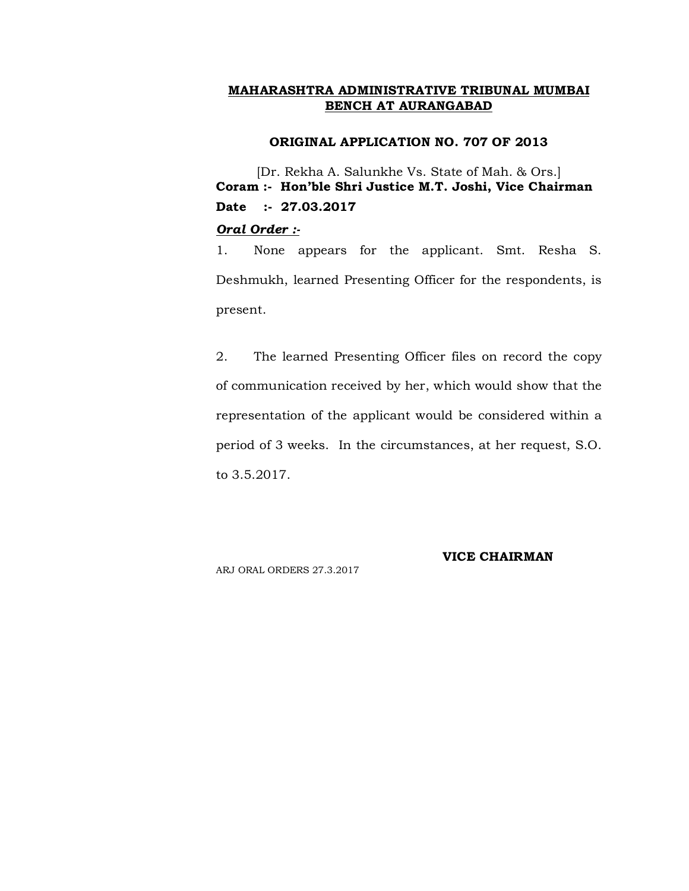#### **ORIGINAL APPLICATION NO. 707 OF 2013**

[Dr. Rekha A. Salunkhe Vs. State of Mah. & Ors.] **Coram :- Hon'ble Shri Justice M.T. Joshi, Vice Chairman Date :- 27.03.2017**

#### *Oral Order :-*

1. None appears for the applicant. Smt. Resha S. Deshmukh, learned Presenting Officer for the respondents, is present.

2. The learned Presenting Officer files on record the copy of communication received by her, which would show that the representation of the applicant would be considered within a period of 3 weeks. In the circumstances, at her request, S.O. to 3.5.2017.

ARJ ORAL ORDERS 27.3.2017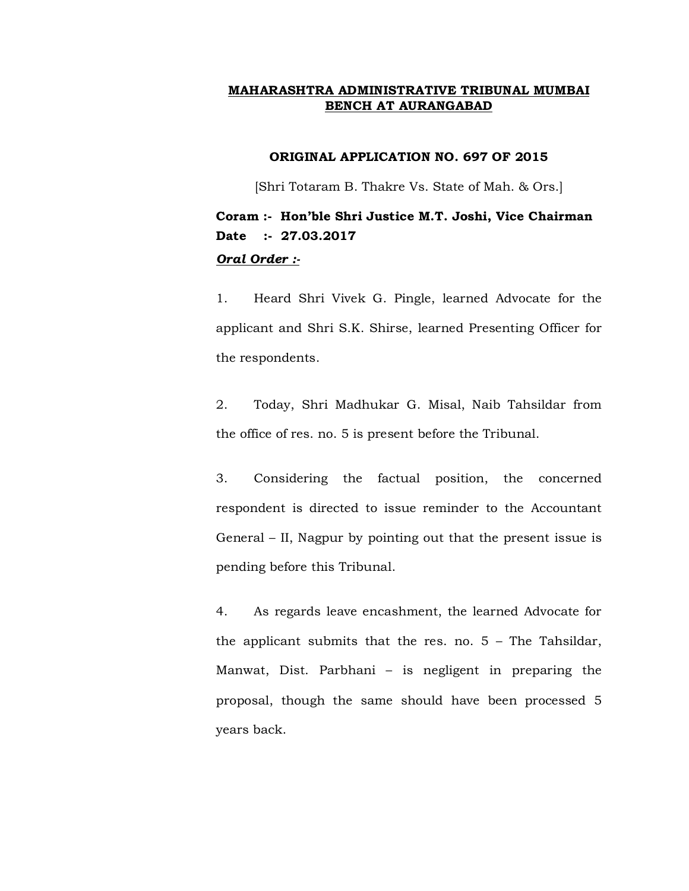## **ORIGINAL APPLICATION NO. 697 OF 2015**

[Shri Totaram B. Thakre Vs. State of Mah. & Ors.]

# **Coram :- Hon'ble Shri Justice M.T. Joshi, Vice Chairman Date :- 27.03.2017** *Oral Order :-*

1. Heard Shri Vivek G. Pingle, learned Advocate for the applicant and Shri S.K. Shirse, learned Presenting Officer for the respondents.

2. Today, Shri Madhukar G. Misal, Naib Tahsildar from the office of res. no. 5 is present before the Tribunal.

3. Considering the factual position, the concerned respondent is directed to issue reminder to the Accountant General – II, Nagpur by pointing out that the present issue is pending before this Tribunal.

4. As regards leave encashment, the learned Advocate for the applicant submits that the res. no. 5 – The Tahsildar, Manwat, Dist. Parbhani – is negligent in preparing the proposal, though the same should have been processed 5 years back.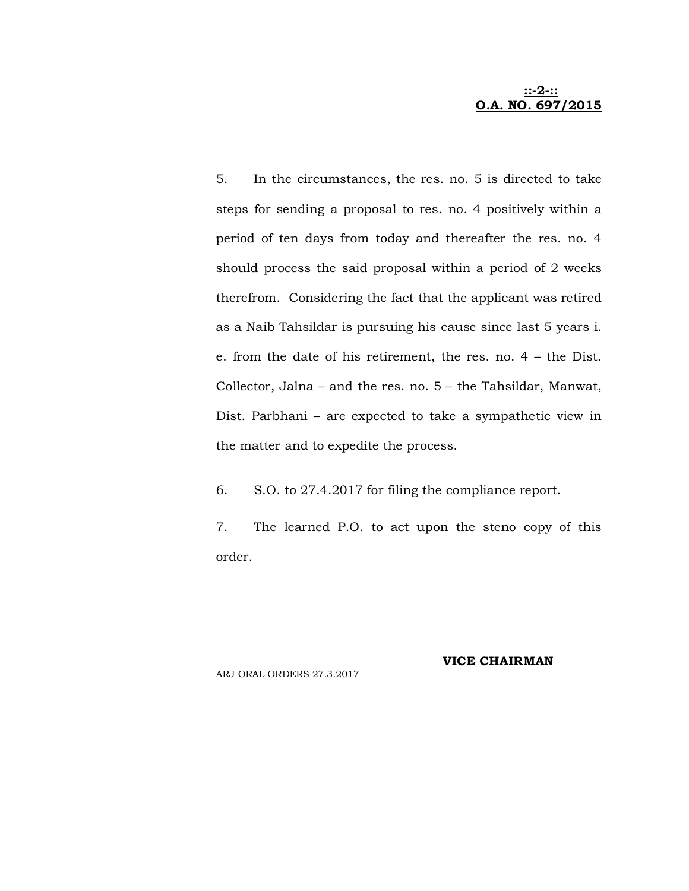#### **::-2-:: O.A. NO. 697/2015**

5. In the circumstances, the res. no. 5 is directed to take steps for sending a proposal to res. no. 4 positively within a period of ten days from today and thereafter the res. no. 4 should process the said proposal within a period of 2 weeks therefrom. Considering the fact that the applicant was retired as a Naib Tahsildar is pursuing his cause since last 5 years i. e. from the date of his retirement, the res. no. 4 – the Dist. Collector, Jalna – and the res. no. 5 – the Tahsildar, Manwat, Dist. Parbhani – are expected to take a sympathetic view in the matter and to expedite the process.

6. S.O. to 27.4.2017 for filing the compliance report.

7. The learned P.O. to act upon the steno copy of this order.

ARJ ORAL ORDERS 27.3.2017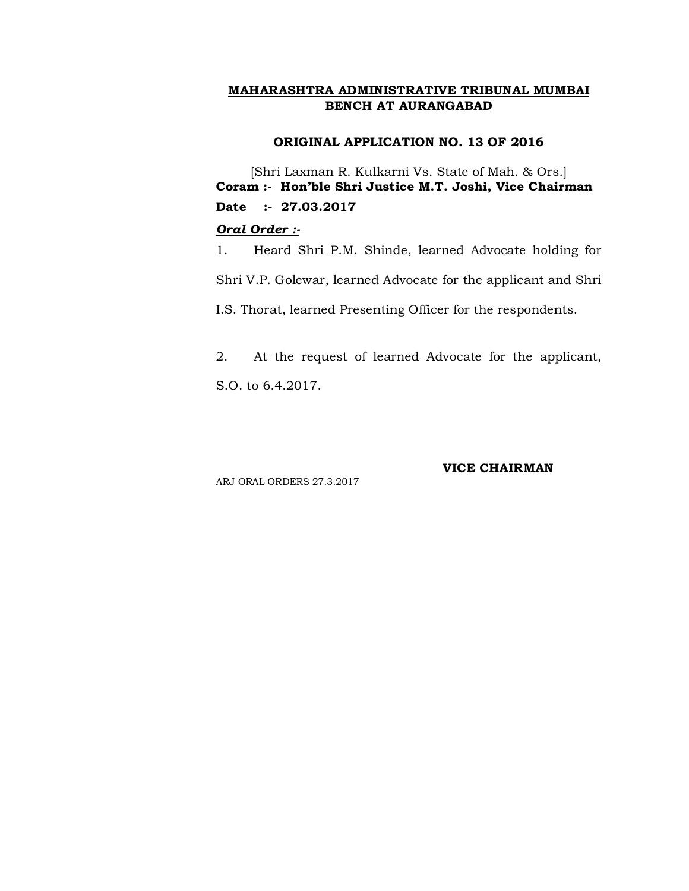#### **ORIGINAL APPLICATION NO. 13 OF 2016**

[Shri Laxman R. Kulkarni Vs. State of Mah. & Ors.] **Coram :- Hon'ble Shri Justice M.T. Joshi, Vice Chairman Date :- 27.03.2017**

## *Oral Order :-*

1. Heard Shri P.M. Shinde, learned Advocate holding for

Shri V.P. Golewar, learned Advocate for the applicant and Shri

I.S. Thorat, learned Presenting Officer for the respondents.

2. At the request of learned Advocate for the applicant, S.O. to 6.4.2017.

#### **VICE CHAIRMAN**

ARJ ORAL ORDERS 27.3.2017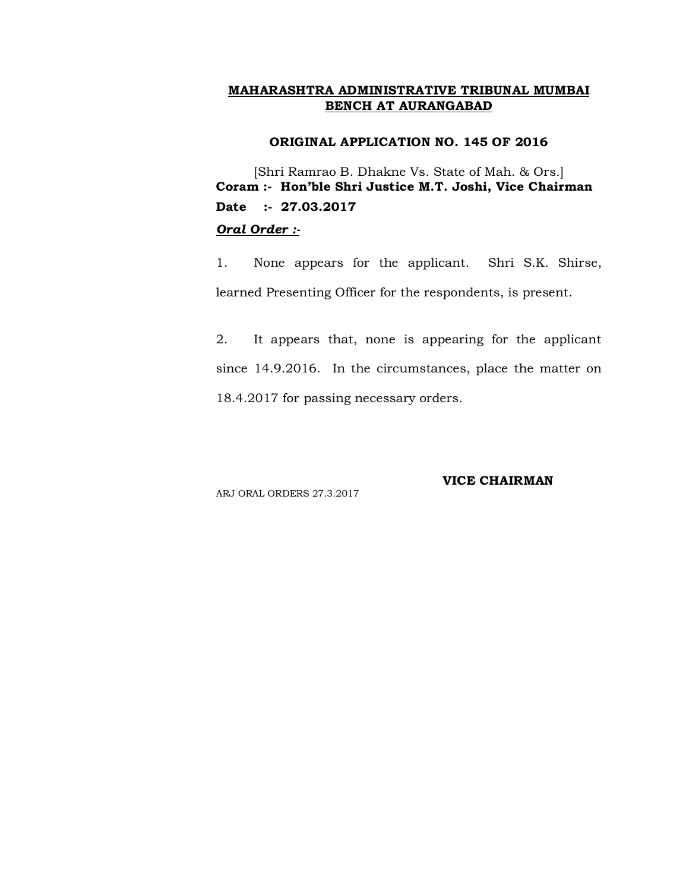#### **ORIGINAL APPLICATION NO. 145 OF 2016**

[Shri Ramrao B. Dhakne Vs. State of Mah. & Ors.] **Coram :- Hon'ble Shri Justice M.T. Joshi, Vice Chairman Date :- 27.03.2017** *Oral Order :-*

1. None appears for the applicant. Shri S.K. Shirse, learned Presenting Officer for the respondents, is present.

2. It appears that, none is appearing for the applicant since 14.9.2016. In the circumstances, place the matter on 18.4.2017 for passing necessary orders.

ARJ ORAL ORDERS 27.3.2017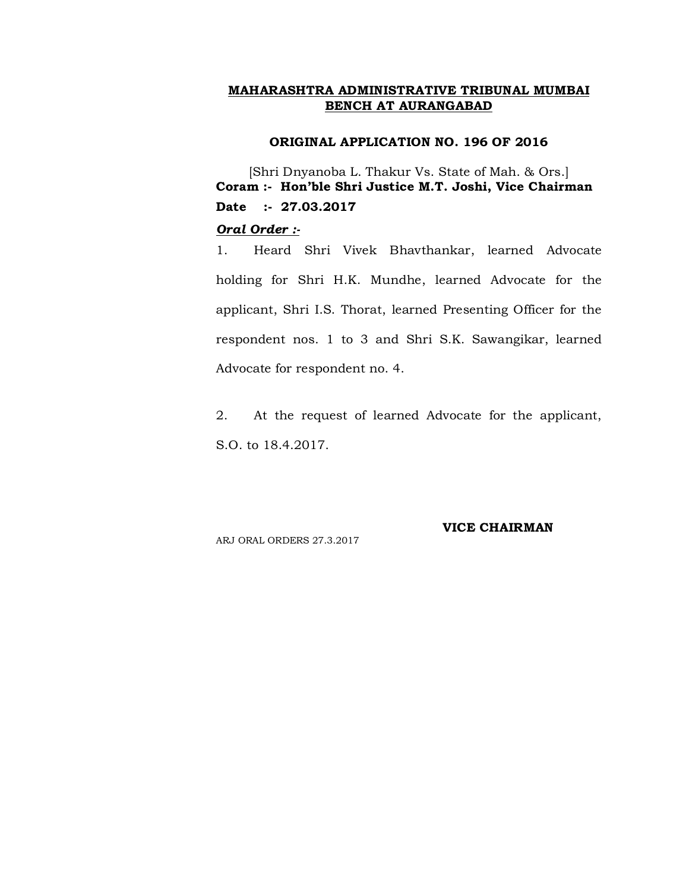#### **ORIGINAL APPLICATION NO. 196 OF 2016**

[Shri Dnyanoba L. Thakur Vs. State of Mah. & Ors.] **Coram :- Hon'ble Shri Justice M.T. Joshi, Vice Chairman Date :- 27.03.2017**

#### *Oral Order :-*

1. Heard Shri Vivek Bhavthankar, learned Advocate holding for Shri H.K. Mundhe, learned Advocate for the applicant, Shri I.S. Thorat, learned Presenting Officer for the respondent nos. 1 to 3 and Shri S.K. Sawangikar, learned Advocate for respondent no. 4.

2. At the request of learned Advocate for the applicant, S.O. to 18.4.2017.

ARJ ORAL ORDERS 27.3.2017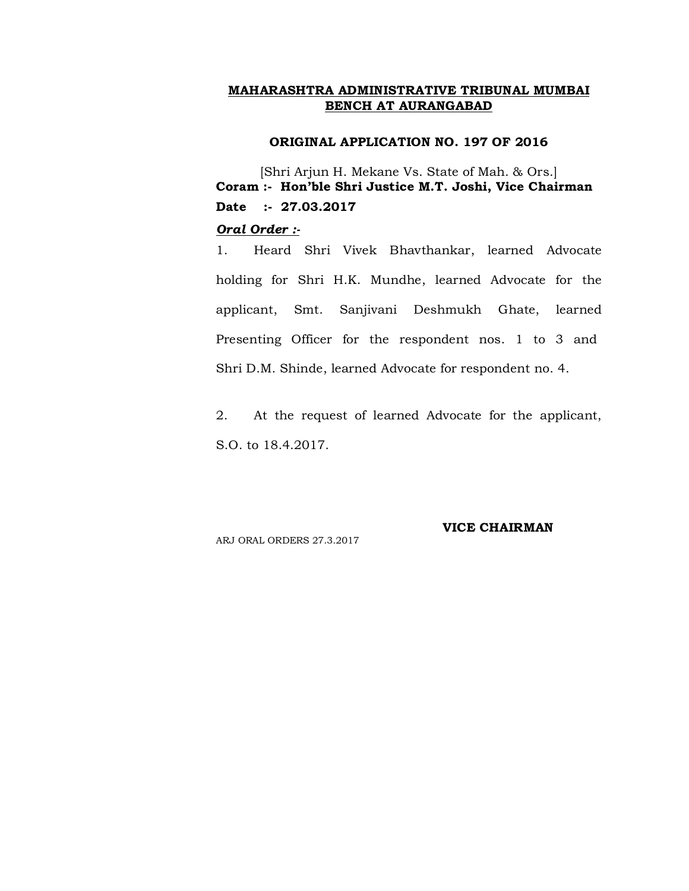#### **ORIGINAL APPLICATION NO. 197 OF 2016**

[Shri Arjun H. Mekane Vs. State of Mah. & Ors.] **Coram :- Hon'ble Shri Justice M.T. Joshi, Vice Chairman Date :- 27.03.2017**

#### *Oral Order :-*

1. Heard Shri Vivek Bhavthankar, learned Advocate holding for Shri H.K. Mundhe, learned Advocate for the applicant, Smt. Sanjivani Deshmukh Ghate, learned Presenting Officer for the respondent nos. 1 to 3 and Shri D.M. Shinde, learned Advocate for respondent no. 4.

2. At the request of learned Advocate for the applicant, S.O. to 18.4.2017.

ARJ ORAL ORDERS 27.3.2017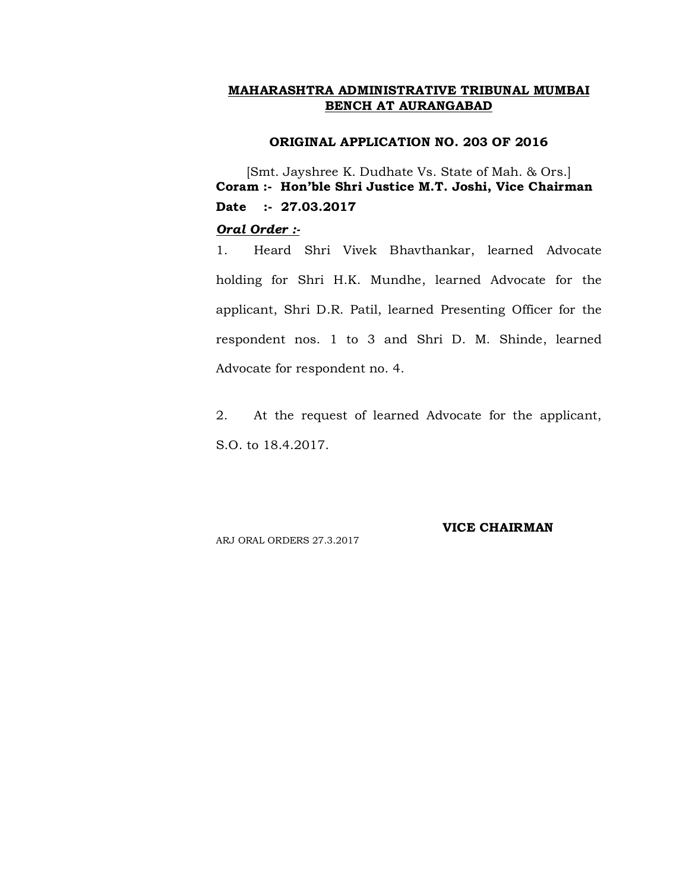#### **ORIGINAL APPLICATION NO. 203 OF 2016**

[Smt. Jayshree K. Dudhate Vs. State of Mah. & Ors.] **Coram :- Hon'ble Shri Justice M.T. Joshi, Vice Chairman Date :- 27.03.2017**

#### *Oral Order :-*

1. Heard Shri Vivek Bhavthankar, learned Advocate holding for Shri H.K. Mundhe, learned Advocate for the applicant, Shri D.R. Patil, learned Presenting Officer for the respondent nos. 1 to 3 and Shri D. M. Shinde, learned Advocate for respondent no. 4.

2. At the request of learned Advocate for the applicant, S.O. to 18.4.2017.

ARJ ORAL ORDERS 27.3.2017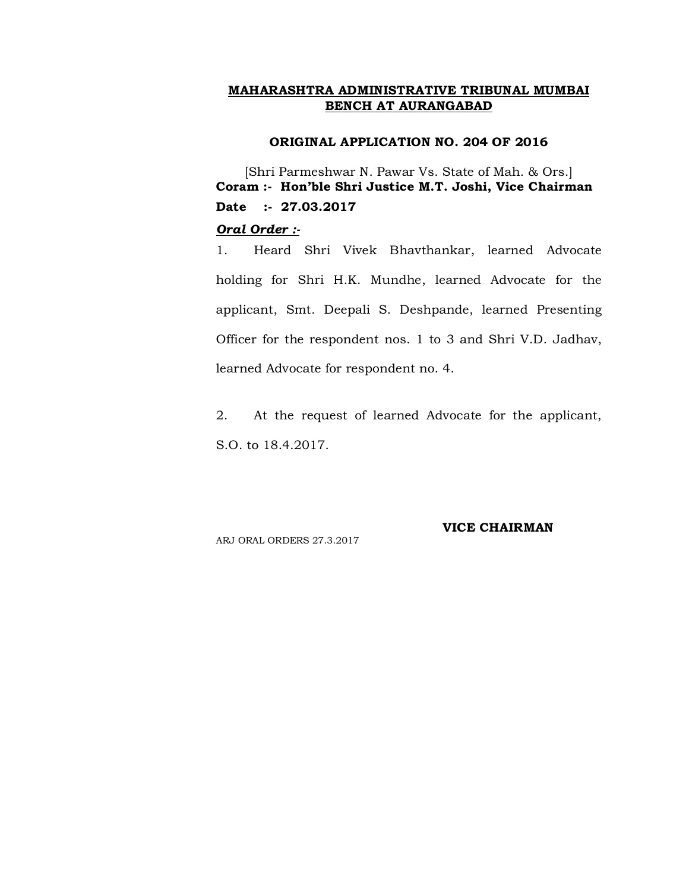#### **ORIGINAL APPLICATION NO. 204 OF 2016**

[Shri Parmeshwar N. Pawar Vs. State of Mah. & Ors.] **Coram :- Hon'ble Shri Justice M.T. Joshi, Vice Chairman Date :- 27.03.2017**

#### *Oral Order :-*

1. Heard Shri Vivek Bhavthankar, learned Advocate holding for Shri H.K. Mundhe, learned Advocate for the applicant, Smt. Deepali S. Deshpande, learned Presenting Officer for the respondent nos. 1 to 3 and Shri V.D. Jadhav, learned Advocate for respondent no. 4.

2. At the request of learned Advocate for the applicant, S.O. to 18.4.2017.

ARJ ORAL ORDERS 27.3.2017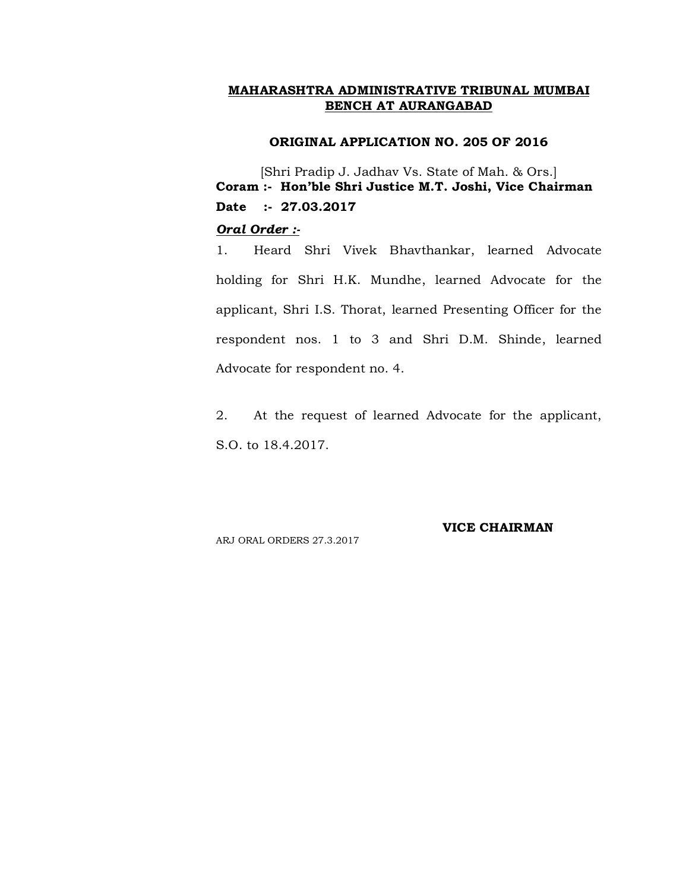#### **ORIGINAL APPLICATION NO. 205 OF 2016**

[Shri Pradip J. Jadhav Vs. State of Mah. & Ors.] **Coram :- Hon'ble Shri Justice M.T. Joshi, Vice Chairman Date :- 27.03.2017**

## *Oral Order :-*

1. Heard Shri Vivek Bhavthankar, learned Advocate holding for Shri H.K. Mundhe, learned Advocate for the applicant, Shri I.S. Thorat, learned Presenting Officer for the respondent nos. 1 to 3 and Shri D.M. Shinde, learned Advocate for respondent no. 4.

2. At the request of learned Advocate for the applicant, S.O. to 18.4.2017.

ARJ ORAL ORDERS 27.3.2017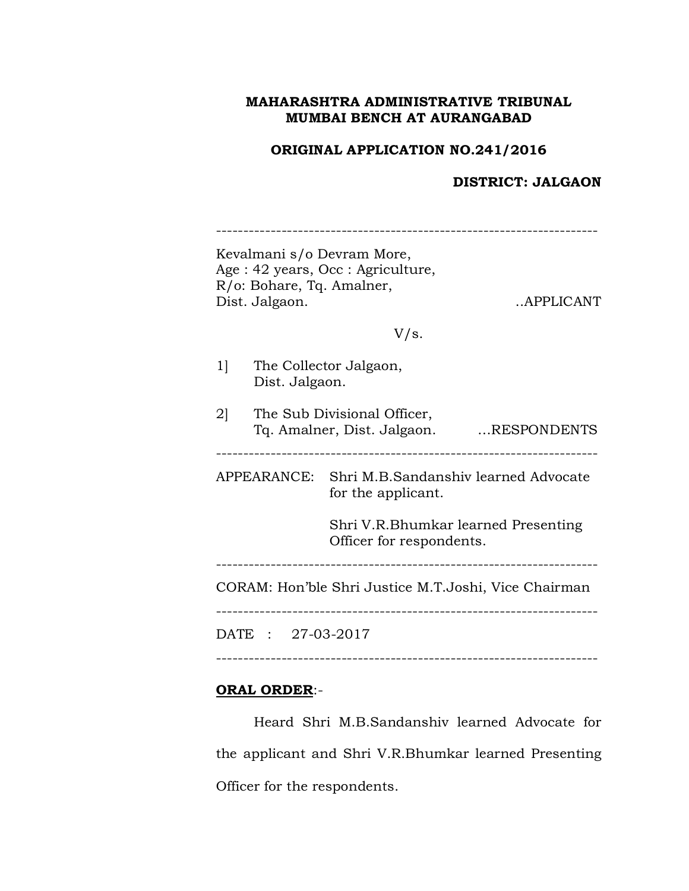# **ORIGINAL APPLICATION NO.241/2016**

# **DISTRICT: JALGAON**

|                | R/o: Bohare, Tq. Amalner,<br>Dist. Jalgaon. | Age: 42 years, Occ: Agriculture, | APPLICANT                                                                         |
|----------------|---------------------------------------------|----------------------------------|-----------------------------------------------------------------------------------|
|                |                                             | V/s.                             |                                                                                   |
| 1              | Dist. Jalgaon.                              | The Collector Jalgaon,           |                                                                                   |
| 2 <sup>1</sup> |                                             | The Sub Divisional Officer,      | Tq. Amalner, Dist. Jalgaon. RESPONDENTS                                           |
|                |                                             | for the applicant.               | APPEARANCE: Shri M.B.Sandanshiv learned Advocate                                  |
|                |                                             | Officer for respondents.         | Shri V.R.Bhumkar learned Presenting                                               |
|                |                                             |                                  | -------------------------<br>CORAM: Hon'ble Shri Justice M.T.Joshi, Vice Chairman |
|                | DATE: 27-03-2017                            |                                  |                                                                                   |

# **ORAL ORDER**:-

Heard Shri M.B.Sandanshiv learned Advocate for the applicant and Shri V.R.Bhumkar learned Presenting Officer for the respondents.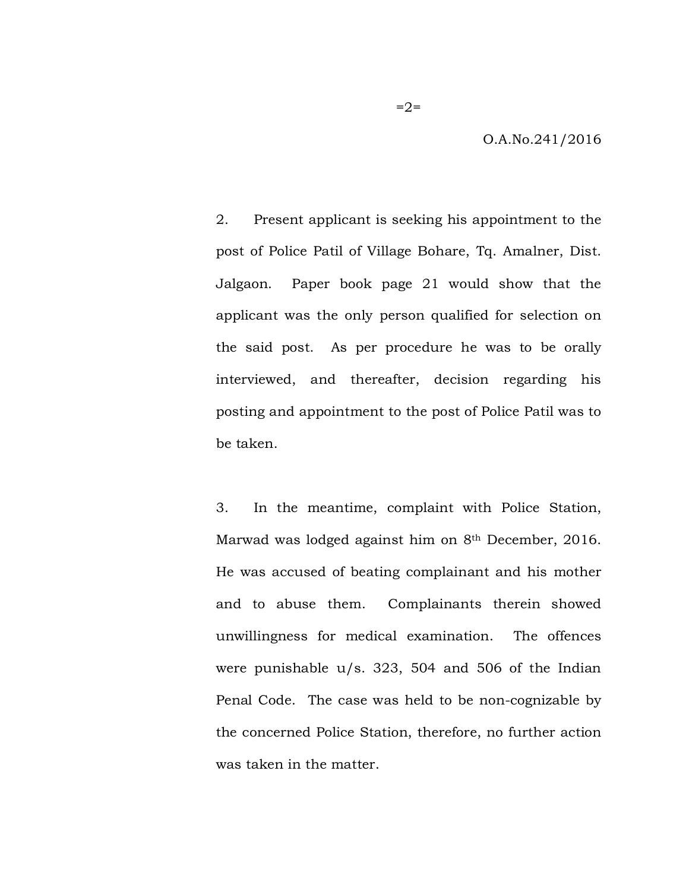O.A.No.241/2016

2. Present applicant is seeking his appointment to the post of Police Patil of Village Bohare, Tq. Amalner, Dist. Jalgaon. Paper book page 21 would show that the applicant was the only person qualified for selection on the said post. As per procedure he was to be orally interviewed, and thereafter, decision regarding his posting and appointment to the post of Police Patil was to be taken.

3. In the meantime, complaint with Police Station, Marwad was lodged against him on 8th December, 2016. He was accused of beating complainant and his mother and to abuse them. Complainants therein showed unwillingness for medical examination. The offences were punishable u/s. 323, 504 and 506 of the Indian Penal Code. The case was held to be non-cognizable by the concerned Police Station, therefore, no further action was taken in the matter.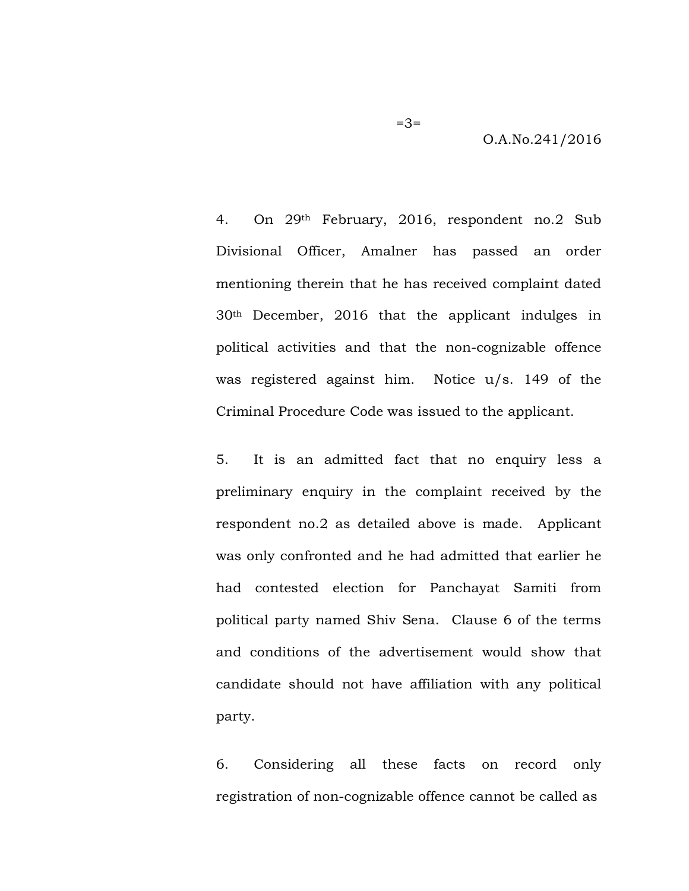O.A.No.241/2016

4. On 29th February, 2016, respondent no.2 Sub Divisional Officer, Amalner has passed an order mentioning therein that he has received complaint dated 30th December, 2016 that the applicant indulges in political activities and that the non-cognizable offence was registered against him. Notice u/s. 149 of the Criminal Procedure Code was issued to the applicant.

5. It is an admitted fact that no enquiry less a preliminary enquiry in the complaint received by the respondent no.2 as detailed above is made. Applicant was only confronted and he had admitted that earlier he had contested election for Panchayat Samiti from political party named Shiv Sena. Clause 6 of the terms and conditions of the advertisement would show that candidate should not have affiliation with any political party.

6. Considering all these facts on record only registration of non-cognizable offence cannot be called as

 $=3=$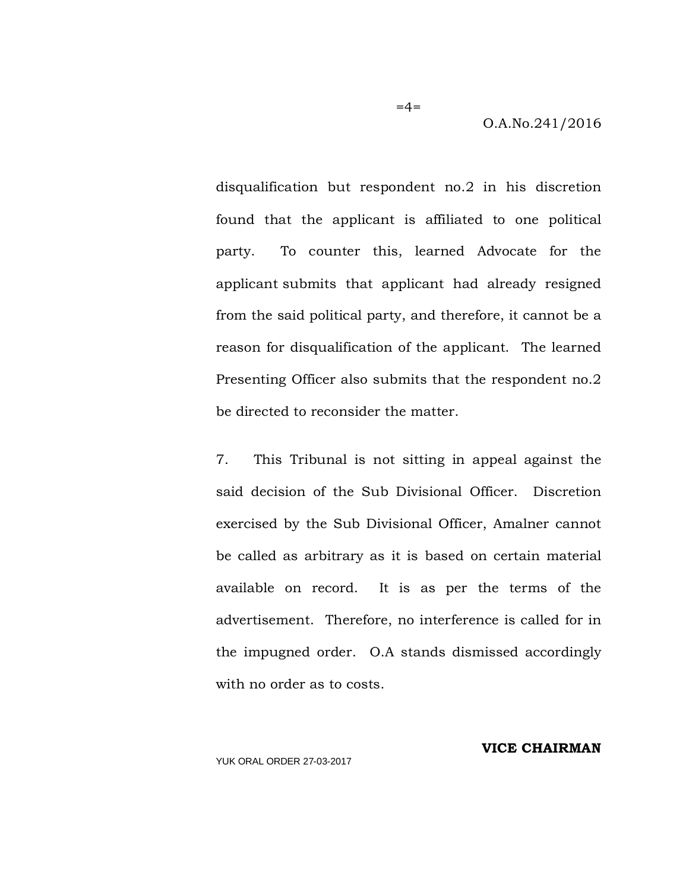O.A.No.241/2016

disqualification but respondent no.2 in his discretion found that the applicant is affiliated to one political party. To counter this, learned Advocate for the applicant submits that applicant had already resigned from the said political party, and therefore, it cannot be a reason for disqualification of the applicant. The learned Presenting Officer also submits that the respondent no.2 be directed to reconsider the matter.

 $=4=$ 

7. This Tribunal is not sitting in appeal against the said decision of the Sub Divisional Officer. Discretion exercised by the Sub Divisional Officer, Amalner cannot be called as arbitrary as it is based on certain material available on record. It is as per the terms of the advertisement. Therefore, no interference is called for in the impugned order. O.A stands dismissed accordingly with no order as to costs.

**VICE CHAIRMAN**

YUK ORAL ORDER 27-03-2017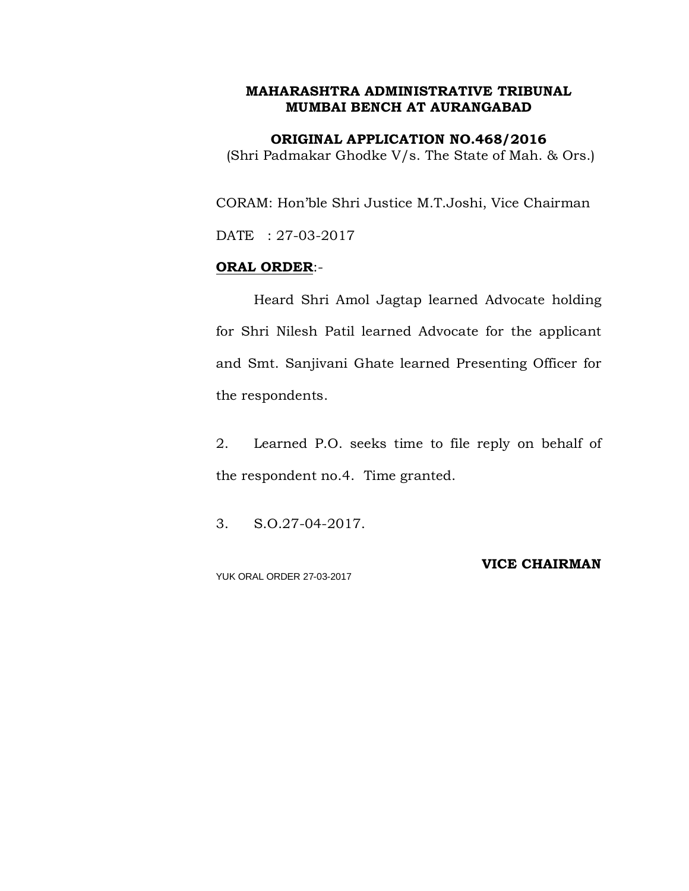**ORIGINAL APPLICATION NO.468/2016** (Shri Padmakar Ghodke V/s. The State of Mah. & Ors.)

CORAM: Hon'ble Shri Justice M.T.Joshi, Vice Chairman

DATE : 27-03-2017

### **ORAL ORDER**:-

Heard Shri Amol Jagtap learned Advocate holding for Shri Nilesh Patil learned Advocate for the applicant and Smt. Sanjivani Ghate learned Presenting Officer for the respondents.

2. Learned P.O. seeks time to file reply on behalf of the respondent no.4. Time granted.

3. S.O.27-04-2017.

YUK ORAL ORDER 27-03-2017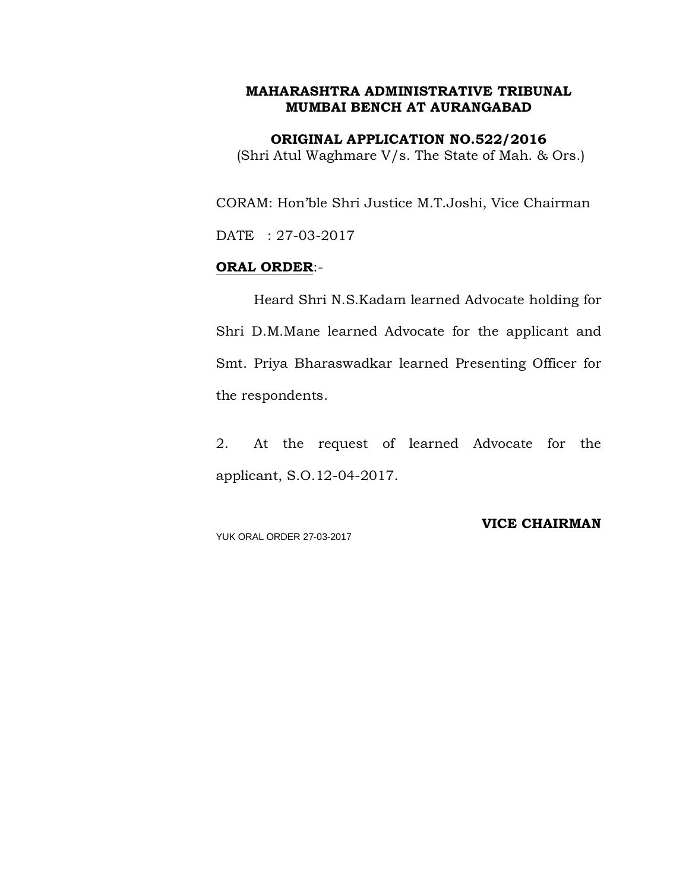**ORIGINAL APPLICATION NO.522/2016** (Shri Atul Waghmare V/s. The State of Mah. & Ors.)

CORAM: Hon'ble Shri Justice M.T.Joshi, Vice Chairman

DATE : 27-03-2017

#### **ORAL ORDER**:-

Heard Shri N.S.Kadam learned Advocate holding for Shri D.M.Mane learned Advocate for the applicant and Smt. Priya Bharaswadkar learned Presenting Officer for the respondents.

2. At the request of learned Advocate for the applicant, S.O.12-04-2017.

YUK ORAL ORDER 27-03-2017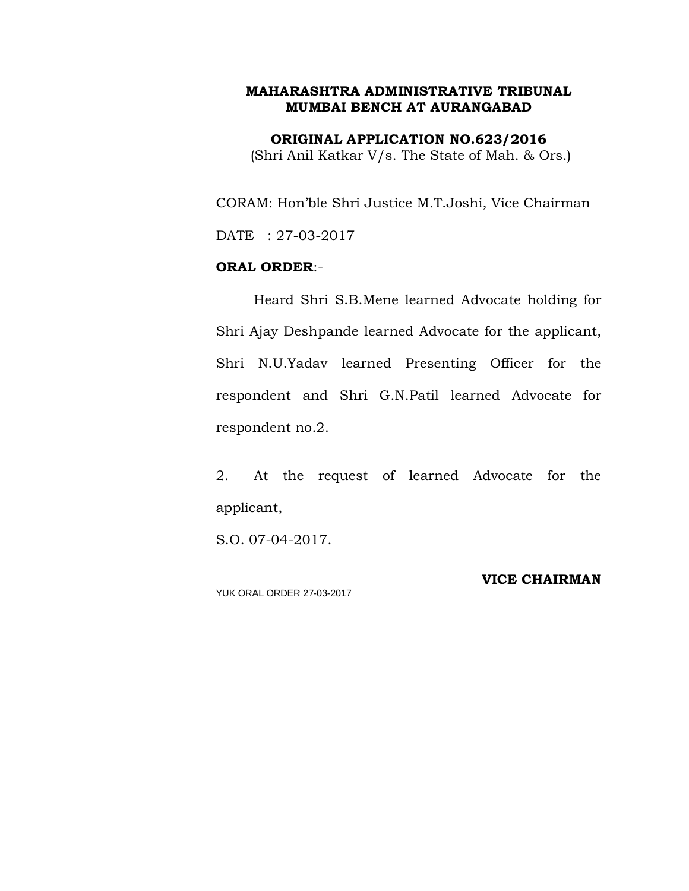**ORIGINAL APPLICATION NO.623/2016** (Shri Anil Katkar V/s. The State of Mah. & Ors.)

CORAM: Hon'ble Shri Justice M.T.Joshi, Vice Chairman DATE : 27-03-2017

#### **ORAL ORDER**:-

Heard Shri S.B.Mene learned Advocate holding for Shri Ajay Deshpande learned Advocate for the applicant, Shri N.U.Yadav learned Presenting Officer for the respondent and Shri G.N.Patil learned Advocate for respondent no.2.

2. At the request of learned Advocate for the applicant,

S.O. 07-04-2017.

YUK ORAL ORDER 27-03-2017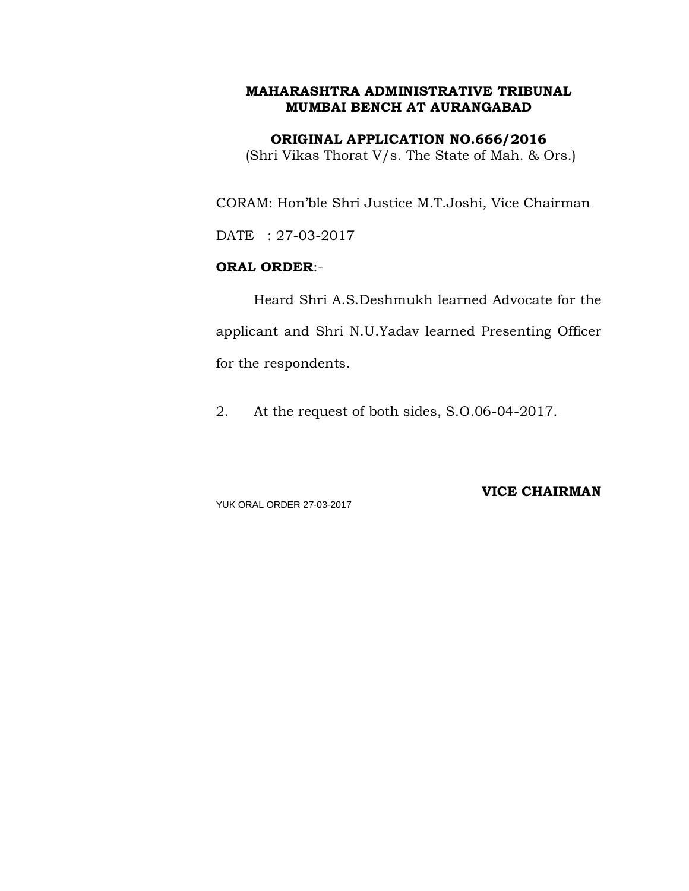**ORIGINAL APPLICATION NO.666/2016**

(Shri Vikas Thorat V/s. The State of Mah. & Ors.)

CORAM: Hon'ble Shri Justice M.T.Joshi, Vice Chairman

DATE : 27-03-2017

## **ORAL ORDER**:-

Heard Shri A.S.Deshmukh learned Advocate for the applicant and Shri N.U.Yadav learned Presenting Officer for the respondents.

2. At the request of both sides, S.O.06-04-2017.

YUK ORAL ORDER 27-03-2017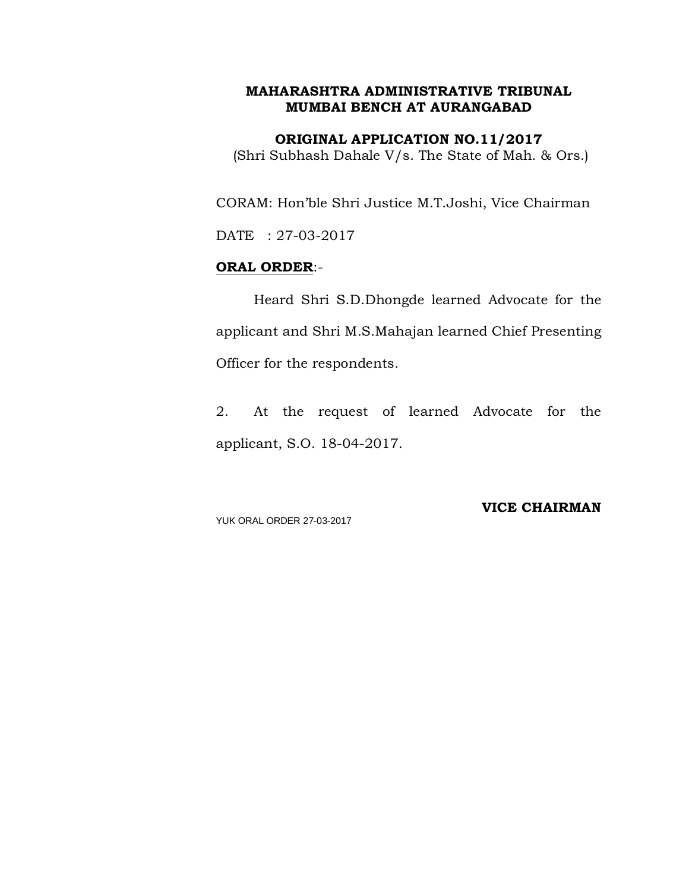**ORIGINAL APPLICATION NO.11/2017** (Shri Subhash Dahale V/s. The State of Mah. & Ors.)

CORAM: Hon'ble Shri Justice M.T.Joshi, Vice Chairman

DATE : 27-03-2017

#### **ORAL ORDER**:-

Heard Shri S.D.Dhongde learned Advocate for the applicant and Shri M.S.Mahajan learned Chief Presenting Officer for the respondents.

2. At the request of learned Advocate for the applicant, S.O. 18-04-2017.

YUK ORAL ORDER 27-03-2017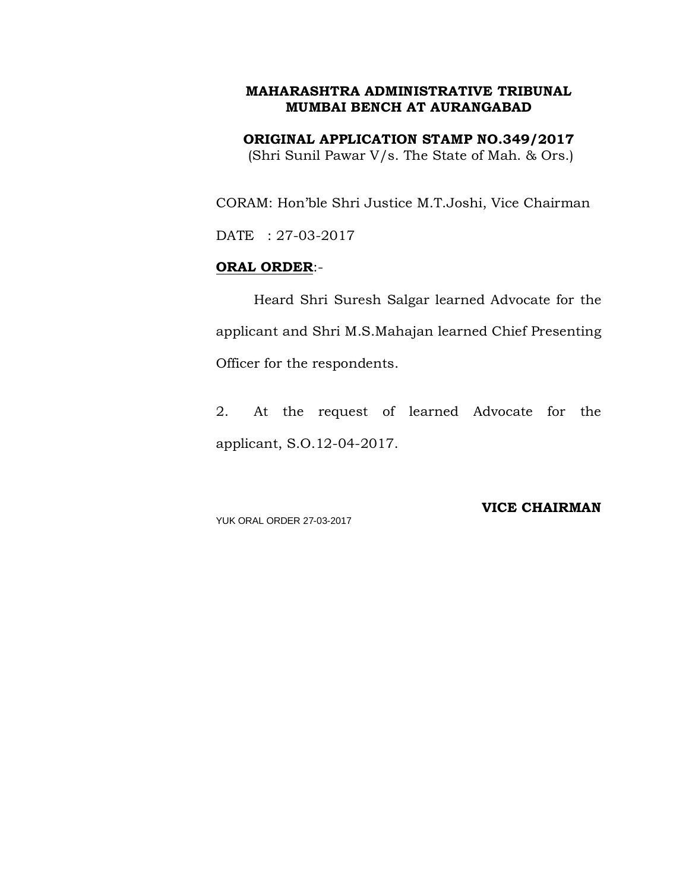**ORIGINAL APPLICATION STAMP NO.349/2017** (Shri Sunil Pawar V/s. The State of Mah. & Ors.)

CORAM: Hon'ble Shri Justice M.T.Joshi, Vice Chairman

DATE : 27-03-2017

#### **ORAL ORDER**:-

Heard Shri Suresh Salgar learned Advocate for the applicant and Shri M.S.Mahajan learned Chief Presenting Officer for the respondents.

2. At the request of learned Advocate for the applicant, S.O.12-04-2017.

YUK ORAL ORDER 27-03-2017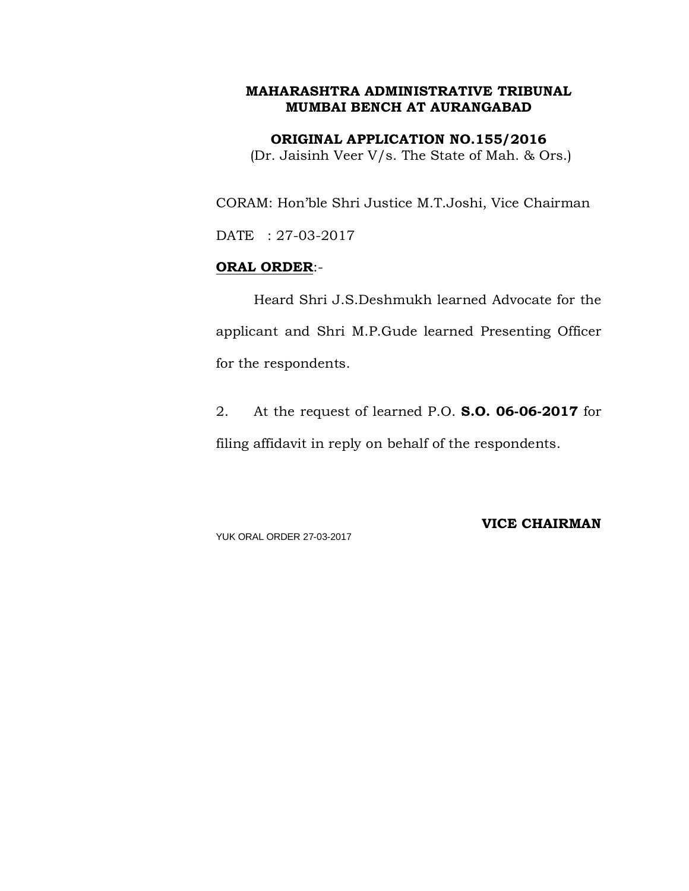**ORIGINAL APPLICATION NO.155/2016**

(Dr. Jaisinh Veer V/s. The State of Mah. & Ors.)

CORAM: Hon'ble Shri Justice M.T.Joshi, Vice Chairman

DATE : 27-03-2017

## **ORAL ORDER**:-

Heard Shri J.S.Deshmukh learned Advocate for the applicant and Shri M.P.Gude learned Presenting Officer for the respondents.

2. At the request of learned P.O. **S.O. 06-06-2017** for filing affidavit in reply on behalf of the respondents.

YUK ORAL ORDER 27-03-2017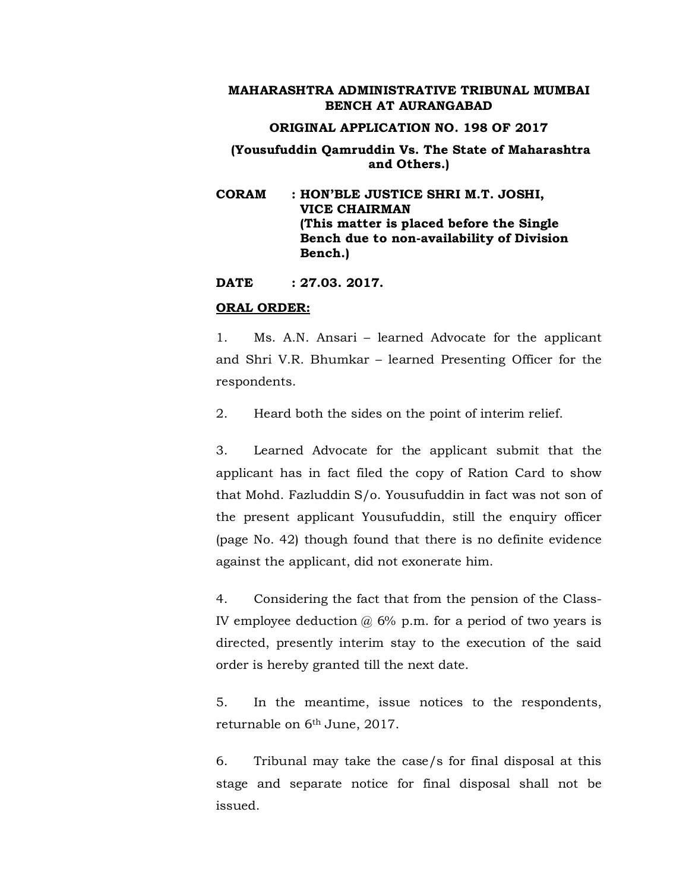#### **ORIGINAL APPLICATION NO. 198 OF 2017**

## **(Yousufuddin Qamruddin Vs. The State of Maharashtra and Others.)**

**CORAM : HON'BLE JUSTICE SHRI M.T. JOSHI, VICE CHAIRMAN (This matter is placed before the Single Bench due to non-availability of Division Bench.)**

**DATE : 27.03. 2017.**

#### **ORAL ORDER:**

1. Ms. A.N. Ansari – learned Advocate for the applicant and Shri V.R. Bhumkar – learned Presenting Officer for the respondents.

2. Heard both the sides on the point of interim relief.

3. Learned Advocate for the applicant submit that the applicant has in fact filed the copy of Ration Card to show that Mohd. Fazluddin S/o. Yousufuddin in fact was not son of the present applicant Yousufuddin, still the enquiry officer (page No. 42) though found that there is no definite evidence against the applicant, did not exonerate him.

4. Considering the fact that from the pension of the Class-IV employee deduction  $\omega$  6% p.m. for a period of two years is directed, presently interim stay to the execution of the said order is hereby granted till the next date.

5. In the meantime, issue notices to the respondents, returnable on 6th June, 2017.

6. Tribunal may take the case/s for final disposal at this stage and separate notice for final disposal shall not be issued.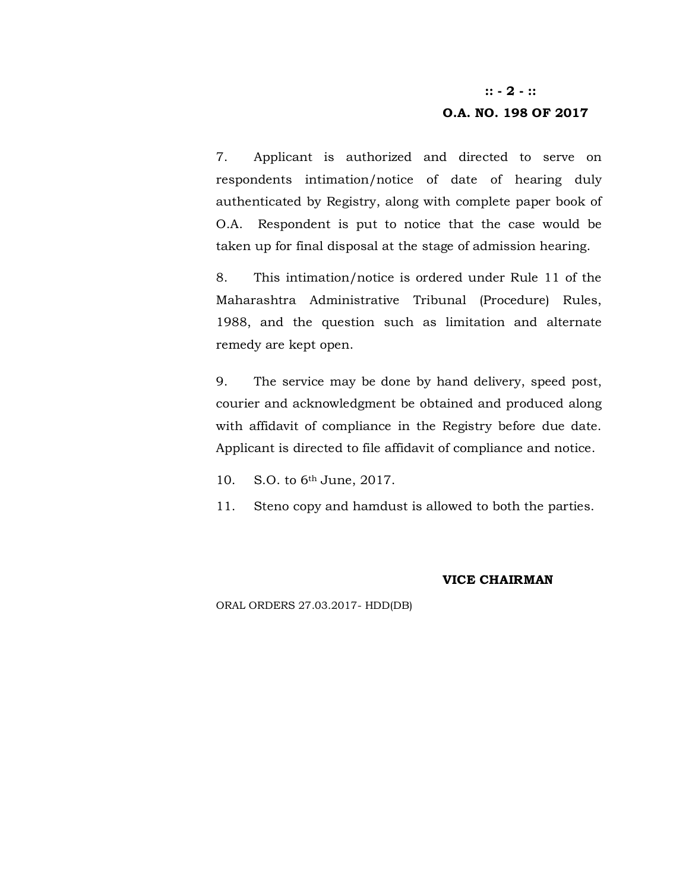#### **:: - 2 - ::**

#### **O.A. NO. 198 OF 2017**

7. Applicant is authorized and directed to serve on respondents intimation/notice of date of hearing duly authenticated by Registry, along with complete paper book of O.A. Respondent is put to notice that the case would be taken up for final disposal at the stage of admission hearing.

8. This intimation/notice is ordered under Rule 11 of the Maharashtra Administrative Tribunal (Procedure) Rules, 1988, and the question such as limitation and alternate remedy are kept open.

9. The service may be done by hand delivery, speed post, courier and acknowledgment be obtained and produced along with affidavit of compliance in the Registry before due date. Applicant is directed to file affidavit of compliance and notice.

10. S.O. to 6th June, 2017.

11. Steno copy and hamdust is allowed to both the parties.

#### **VICE CHAIRMAN**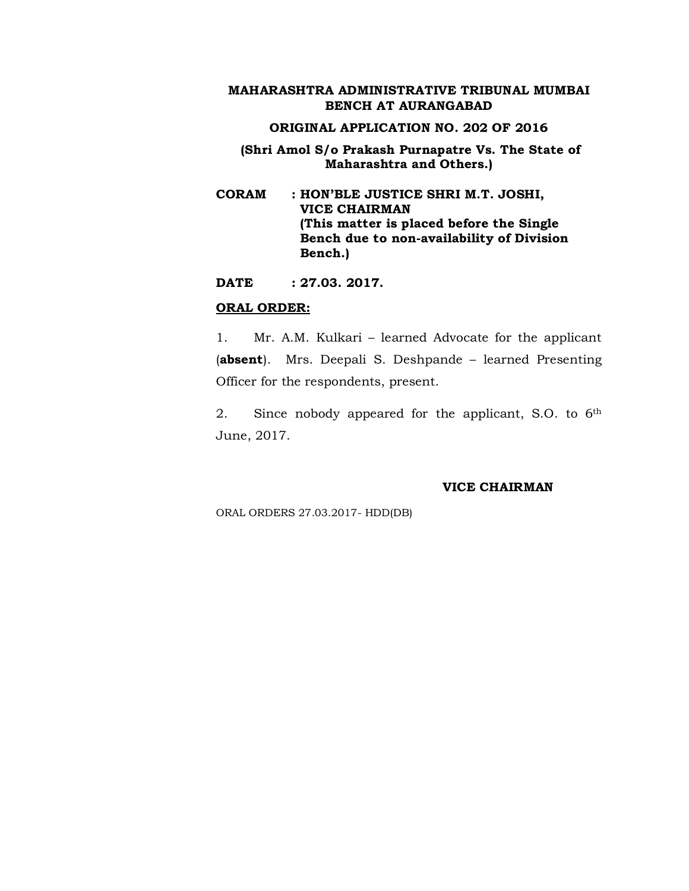#### **ORIGINAL APPLICATION NO. 202 OF 2016**

## **(Shri Amol S/o Prakash Purnapatre Vs. The State of Maharashtra and Others.)**

**CORAM : HON'BLE JUSTICE SHRI M.T. JOSHI, VICE CHAIRMAN (This matter is placed before the Single Bench due to non-availability of Division Bench.)**

**DATE : 27.03. 2017.**

#### **ORAL ORDER:**

1. Mr. A.M. Kulkari – learned Advocate for the applicant (**absent**). Mrs. Deepali S. Deshpande – learned Presenting Officer for the respondents, present.

2. Since nobody appeared for the applicant, S.O. to 6th June, 2017.

#### **VICE CHAIRMAN**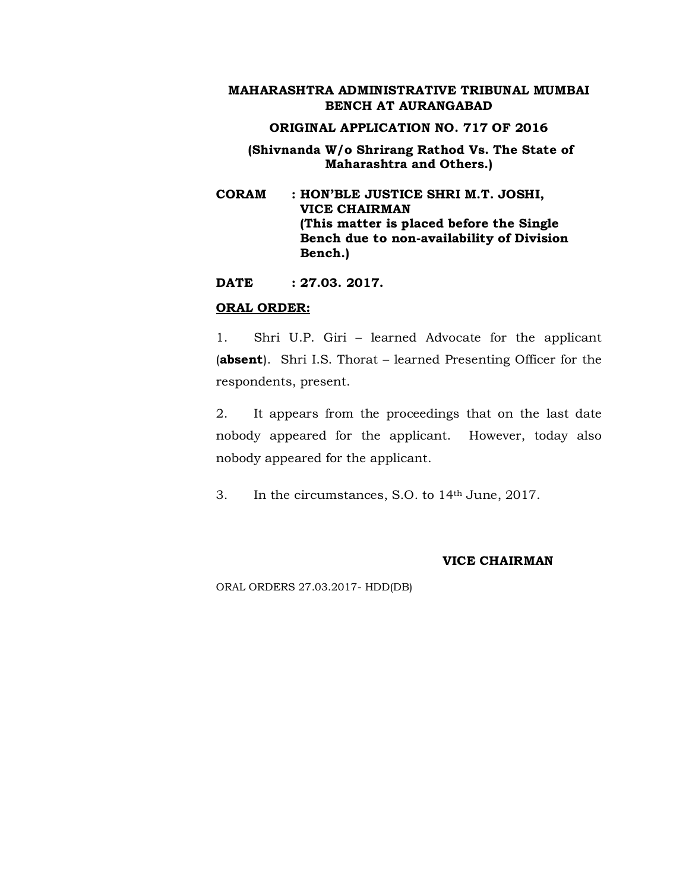#### **ORIGINAL APPLICATION NO. 717 OF 2016**

## **(Shivnanda W/o Shrirang Rathod Vs. The State of Maharashtra and Others.)**

**CORAM : HON'BLE JUSTICE SHRI M.T. JOSHI, VICE CHAIRMAN (This matter is placed before the Single Bench due to non-availability of Division Bench.)**

**DATE : 27.03. 2017.**

#### **ORAL ORDER:**

1. Shri U.P. Giri – learned Advocate for the applicant (**absent**). Shri I.S. Thorat – learned Presenting Officer for the respondents, present.

2. It appears from the proceedings that on the last date nobody appeared for the applicant. However, today also nobody appeared for the applicant.

3. In the circumstances, S.O. to 14th June, 2017.

#### **VICE CHAIRMAN**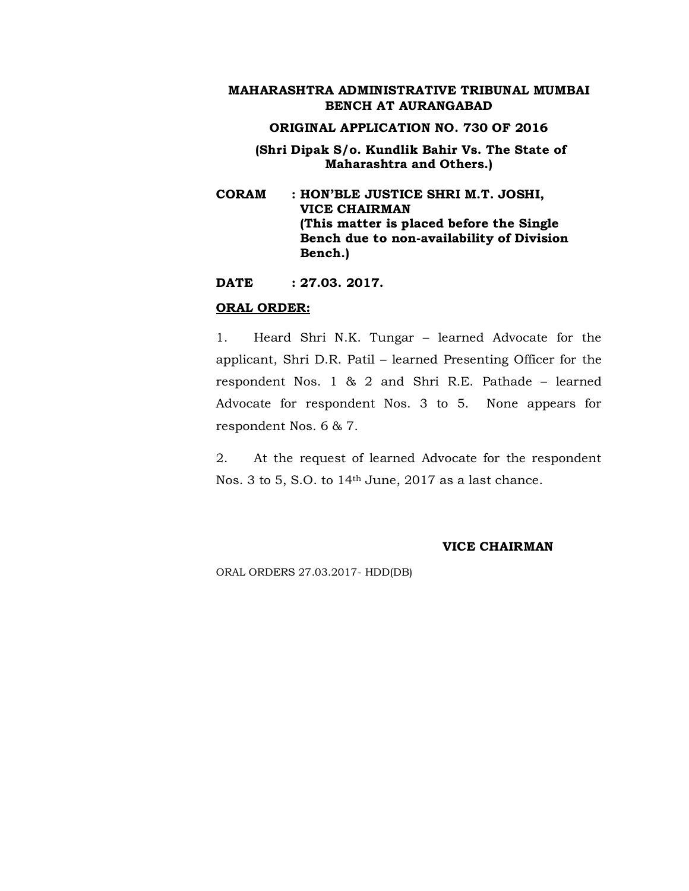#### **ORIGINAL APPLICATION NO. 730 OF 2016**

## **(Shri Dipak S/o. Kundlik Bahir Vs. The State of Maharashtra and Others.)**

**CORAM : HON'BLE JUSTICE SHRI M.T. JOSHI, VICE CHAIRMAN (This matter is placed before the Single Bench due to non-availability of Division Bench.)**

**DATE : 27.03. 2017.**

#### **ORAL ORDER:**

1. Heard Shri N.K. Tungar – learned Advocate for the applicant, Shri D.R. Patil – learned Presenting Officer for the respondent Nos. 1 & 2 and Shri R.E. Pathade – learned Advocate for respondent Nos. 3 to 5. None appears for respondent Nos. 6 & 7.

2. At the request of learned Advocate for the respondent Nos. 3 to 5, S.O. to 14<sup>th</sup> June, 2017 as a last chance.

#### **VICE CHAIRMAN**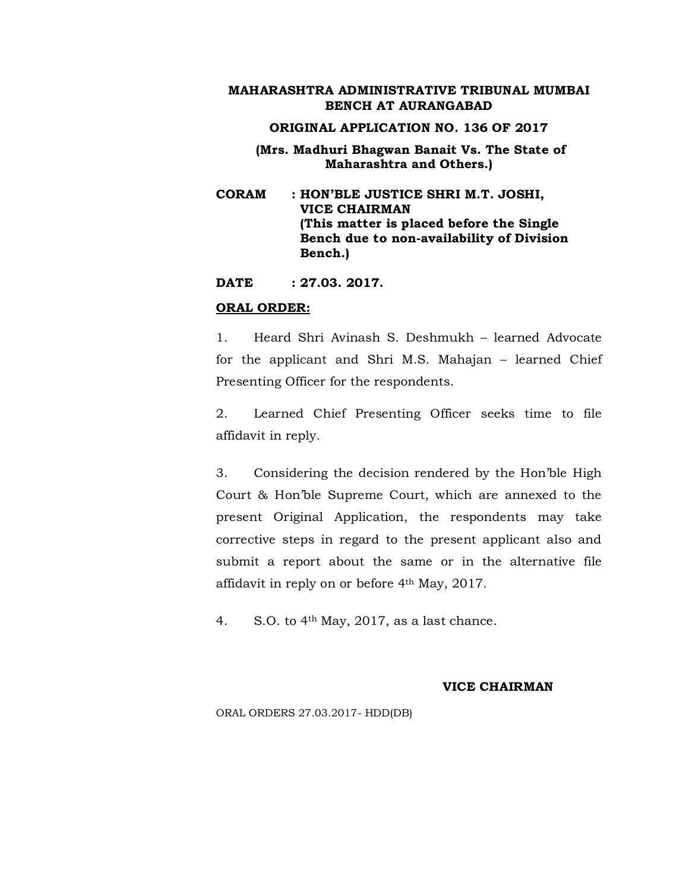#### **ORIGINAL APPLICATION NO. 136 OF 2017**

## **(Mrs. Madhuri Bhagwan Banait Vs. The State of Maharashtra and Others.)**

**CORAM : HON'BLE JUSTICE SHRI M.T. JOSHI, VICE CHAIRMAN (This matter is placed before the Single Bench due to non-availability of Division Bench.)**

**DATE : 27.03. 2017.**

#### **ORAL ORDER:**

1. Heard Shri Avinash S. Deshmukh – learned Advocate for the applicant and Shri M.S. Mahajan – learned Chief Presenting Officer for the respondents.

2. Learned Chief Presenting Officer seeks time to file affidavit in reply.

3. Considering the decision rendered by the Hon'ble High Court & Hon'ble Supreme Court, which are annexed to the present Original Application, the respondents may take corrective steps in regard to the present applicant also and submit a report about the same or in the alternative file affidavit in reply on or before 4th May, 2017.

4. S.O. to  $4<sup>th</sup>$  May, 2017, as a last chance.

#### **VICE CHAIRMAN**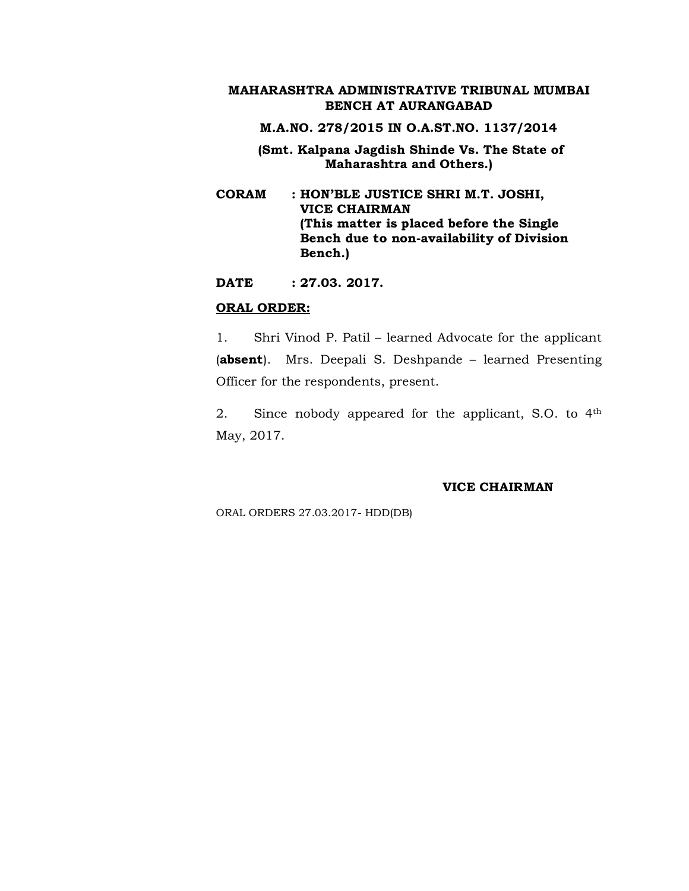**M.A.NO. 278/2015 IN O.A.ST.NO. 1137/2014**

- **(Smt. Kalpana Jagdish Shinde Vs. The State of Maharashtra and Others.)**
- **CORAM : HON'BLE JUSTICE SHRI M.T. JOSHI, VICE CHAIRMAN (This matter is placed before the Single Bench due to non-availability of Division Bench.)**

**DATE : 27.03. 2017.**

#### **ORAL ORDER:**

1. Shri Vinod P. Patil – learned Advocate for the applicant (**absent**). Mrs. Deepali S. Deshpande – learned Presenting Officer for the respondents, present.

2. Since nobody appeared for the applicant, S.O. to 4th May, 2017.

#### **VICE CHAIRMAN**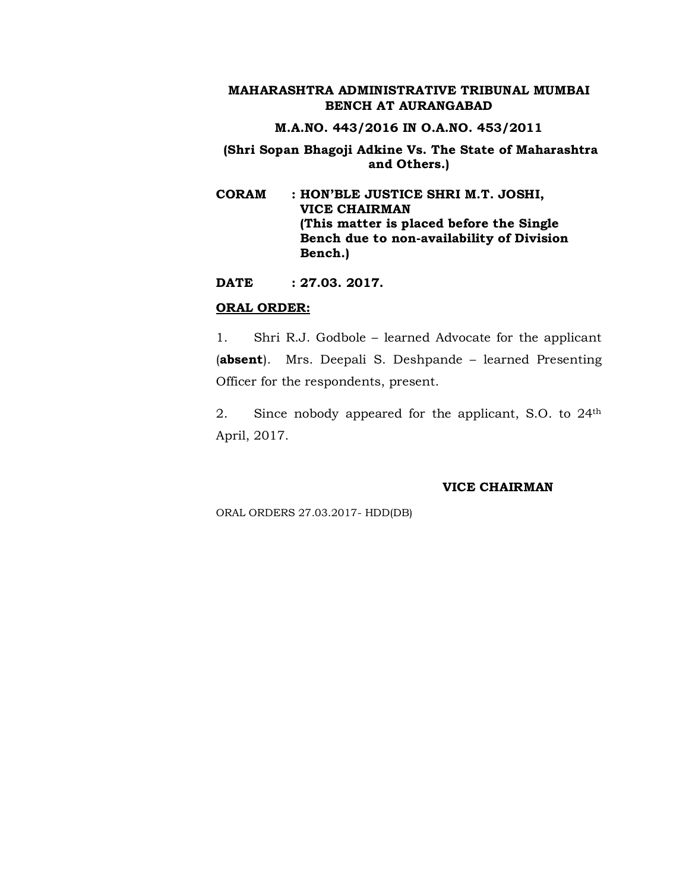## **M.A.NO. 443/2016 IN O.A.NO. 453/2011**

## **(Shri Sopan Bhagoji Adkine Vs. The State of Maharashtra and Others.)**

**CORAM : HON'BLE JUSTICE SHRI M.T. JOSHI, VICE CHAIRMAN (This matter is placed before the Single Bench due to non-availability of Division Bench.)**

**DATE : 27.03. 2017.**

## **ORAL ORDER:**

1. Shri R.J. Godbole – learned Advocate for the applicant (**absent**). Mrs. Deepali S. Deshpande – learned Presenting Officer for the respondents, present.

2. Since nobody appeared for the applicant, S.O. to 24<sup>th</sup> April, 2017.

#### **VICE CHAIRMAN**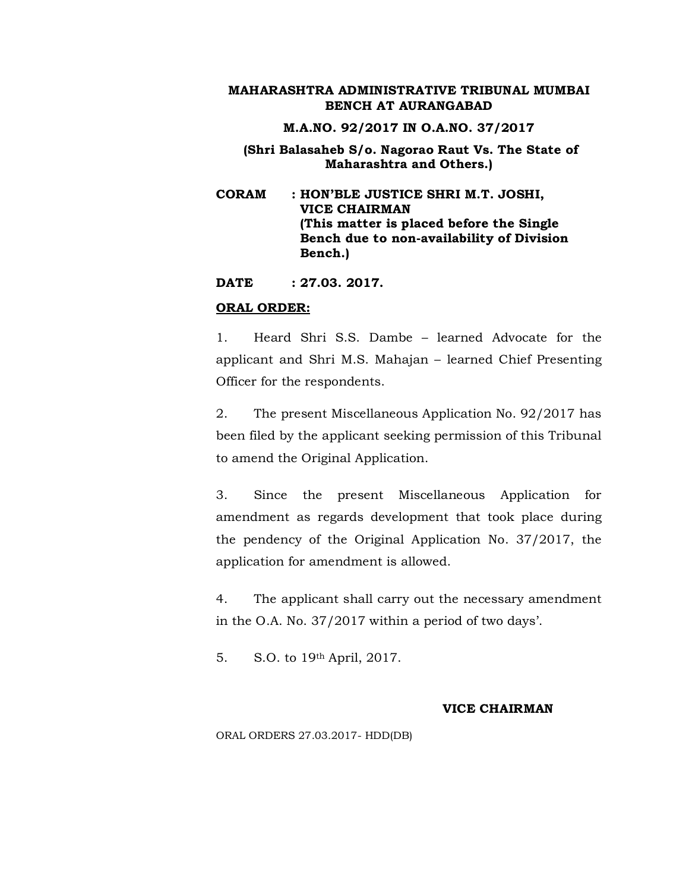**M.A.NO. 92/2017 IN O.A.NO. 37/2017**

## **(Shri Balasaheb S/o. Nagorao Raut Vs. The State of Maharashtra and Others.)**

**CORAM : HON'BLE JUSTICE SHRI M.T. JOSHI, VICE CHAIRMAN (This matter is placed before the Single Bench due to non-availability of Division Bench.)**

**DATE : 27.03. 2017.**

#### **ORAL ORDER:**

1. Heard Shri S.S. Dambe – learned Advocate for the applicant and Shri M.S. Mahajan – learned Chief Presenting Officer for the respondents.

2. The present Miscellaneous Application No. 92/2017 has been filed by the applicant seeking permission of this Tribunal to amend the Original Application.

3. Since the present Miscellaneous Application for amendment as regards development that took place during the pendency of the Original Application No. 37/2017, the application for amendment is allowed.

4. The applicant shall carry out the necessary amendment in the O.A. No. 37/2017 within a period of two days'.

5. S.O. to 19th April, 2017.

#### **VICE CHAIRMAN**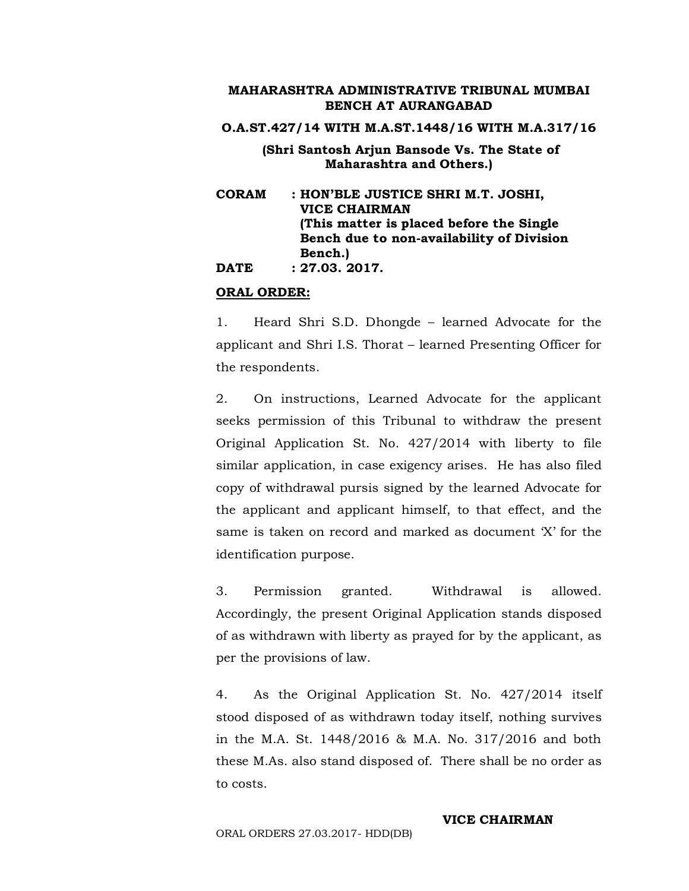**O.A.ST.427/14 WITH M.A.ST.1448/16 WITH M.A.317/16**

## **(Shri Santosh Arjun Bansode Vs. The State of Maharashtra and Others.)**

**CORAM : HON'BLE JUSTICE SHRI M.T. JOSHI, VICE CHAIRMAN (This matter is placed before the Single Bench due to non-availability of Division Bench.) DATE : 27.03. 2017.**

#### **ORAL ORDER:**

1. Heard Shri S.D. Dhongde – learned Advocate for the applicant and Shri I.S. Thorat – learned Presenting Officer for the respondents.

2. On instructions, Learned Advocate for the applicant seeks permission of this Tribunal to withdraw the present Original Application St. No. 427/2014 with liberty to file similar application, in case exigency arises. He has also filed copy of withdrawal pursis signed by the learned Advocate for the applicant and applicant himself, to that effect, and the same is taken on record and marked as document 'X' for the identification purpose.

3. Permission granted. Withdrawal is allowed. Accordingly, the present Original Application stands disposed of as withdrawn with liberty as prayed for by the applicant, as per the provisions of law.

4. As the Original Application St. No. 427/2014 itself stood disposed of as withdrawn today itself, nothing survives in the M.A. St. 1448/2016 & M.A. No. 317/2016 and both these M.As. also stand disposed of. There shall be no order as to costs.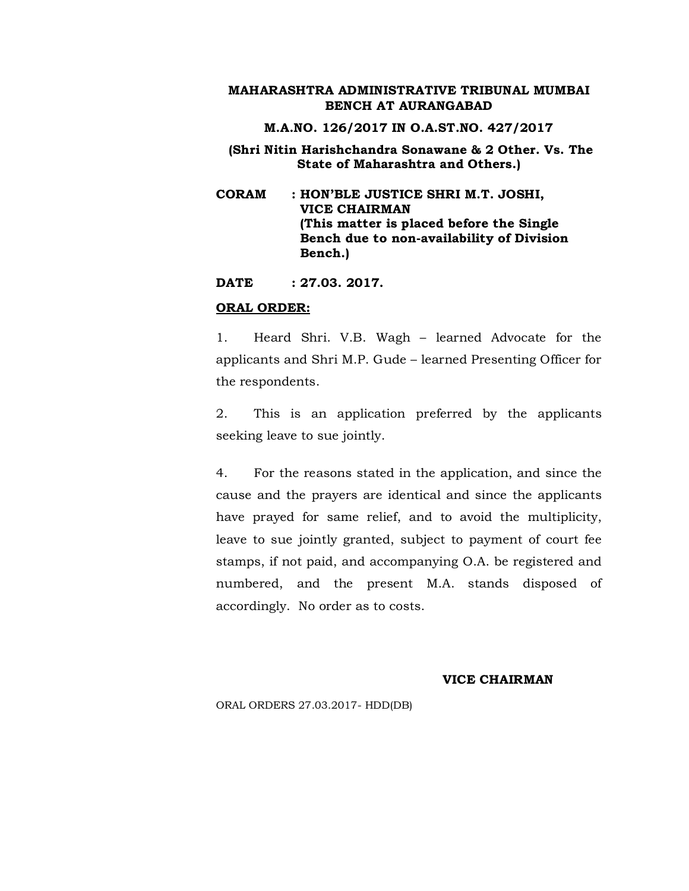**M.A.NO. 126/2017 IN O.A.ST.NO. 427/2017**

## **(Shri Nitin Harishchandra Sonawane & 2 Other. Vs. The State of Maharashtra and Others.)**

**CORAM : HON'BLE JUSTICE SHRI M.T. JOSHI, VICE CHAIRMAN (This matter is placed before the Single Bench due to non-availability of Division Bench.)**

**DATE : 27.03. 2017.**

#### **ORAL ORDER:**

1. Heard Shri. V.B. Wagh – learned Advocate for the applicants and Shri M.P. Gude – learned Presenting Officer for the respondents.

2. This is an application preferred by the applicants seeking leave to sue jointly.

4. For the reasons stated in the application, and since the cause and the prayers are identical and since the applicants have prayed for same relief, and to avoid the multiplicity, leave to sue jointly granted, subject to payment of court fee stamps, if not paid, and accompanying O.A. be registered and numbered, and the present M.A. stands disposed of accordingly. No order as to costs.

#### **VICE CHAIRMAN**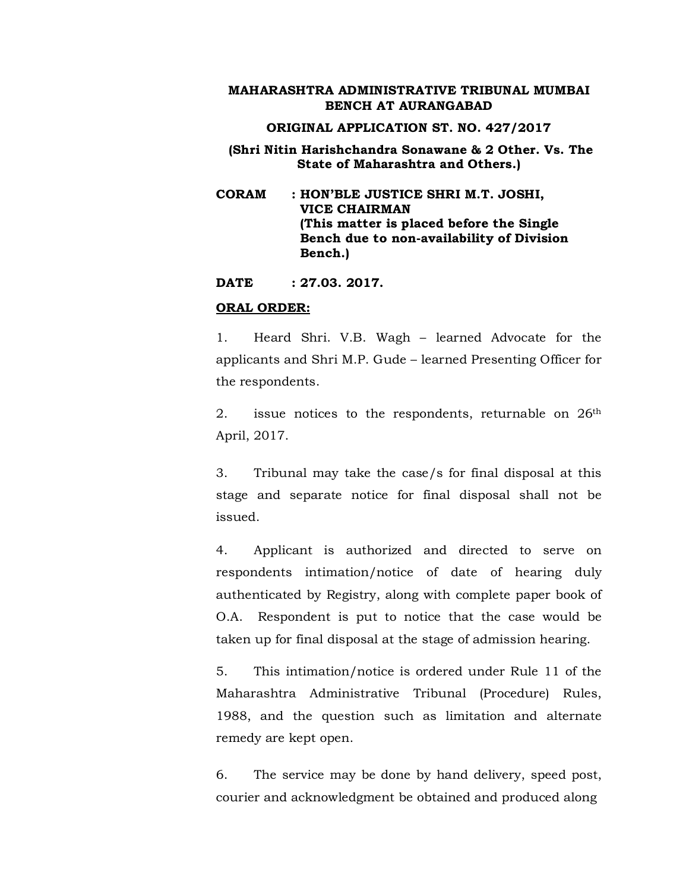#### **ORIGINAL APPLICATION ST. NO. 427/2017**

## **(Shri Nitin Harishchandra Sonawane & 2 Other. Vs. The State of Maharashtra and Others.)**

**CORAM : HON'BLE JUSTICE SHRI M.T. JOSHI, VICE CHAIRMAN (This matter is placed before the Single Bench due to non-availability of Division Bench.)**

**DATE : 27.03. 2017.**

#### **ORAL ORDER:**

1. Heard Shri. V.B. Wagh – learned Advocate for the applicants and Shri M.P. Gude – learned Presenting Officer for the respondents.

2. issue notices to the respondents, returnable on 26<sup>th</sup> April, 2017.

3. Tribunal may take the case/s for final disposal at this stage and separate notice for final disposal shall not be issued.

4. Applicant is authorized and directed to serve on respondents intimation/notice of date of hearing duly authenticated by Registry, along with complete paper book of O.A. Respondent is put to notice that the case would be taken up for final disposal at the stage of admission hearing.

5. This intimation/notice is ordered under Rule 11 of the Maharashtra Administrative Tribunal (Procedure) Rules, 1988, and the question such as limitation and alternate remedy are kept open.

6. The service may be done by hand delivery, speed post, courier and acknowledgment be obtained and produced along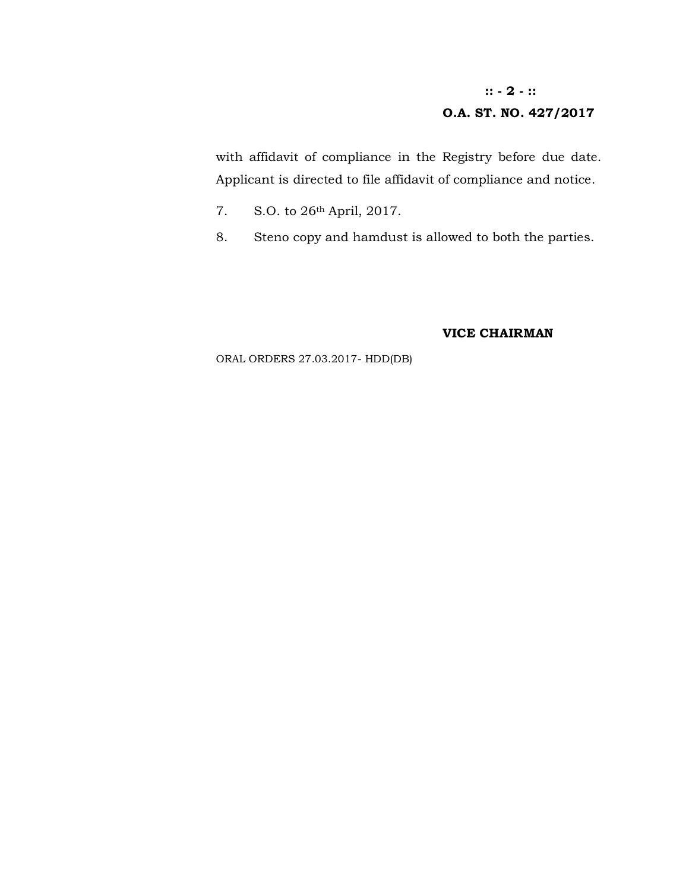# **:: - 2 - :: O.A. ST. NO. 427/2017**

with affidavit of compliance in the Registry before due date. Applicant is directed to file affidavit of compliance and notice.

- 7. S.O. to 26th April, 2017.
- 8. Steno copy and hamdust is allowed to both the parties.

## **VICE CHAIRMAN**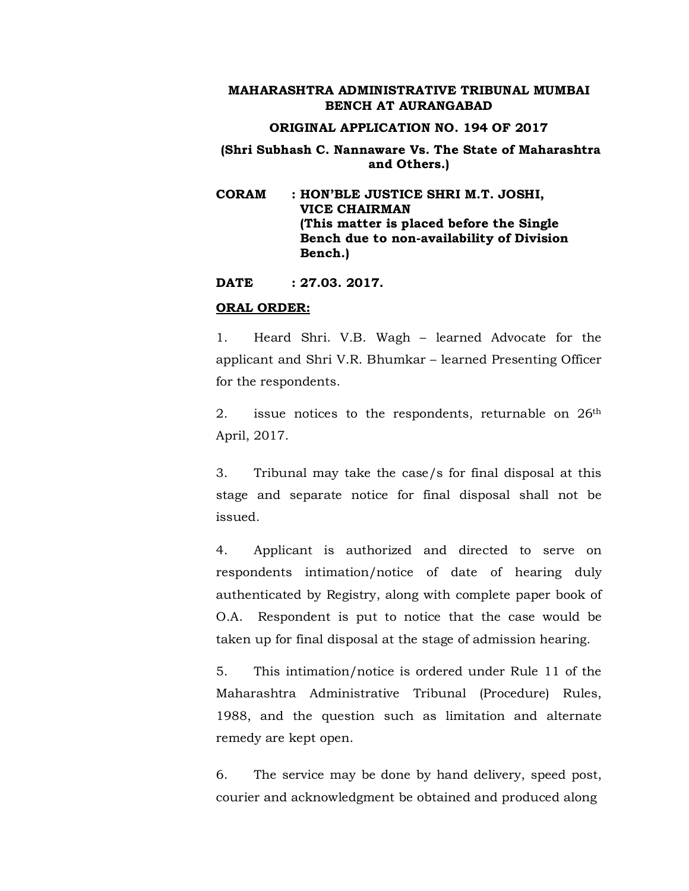#### **ORIGINAL APPLICATION NO. 194 OF 2017**

## **(Shri Subhash C. Nannaware Vs. The State of Maharashtra and Others.)**

**CORAM : HON'BLE JUSTICE SHRI M.T. JOSHI, VICE CHAIRMAN (This matter is placed before the Single Bench due to non-availability of Division Bench.)**

**DATE : 27.03. 2017.**

#### **ORAL ORDER:**

1. Heard Shri. V.B. Wagh – learned Advocate for the applicant and Shri V.R. Bhumkar – learned Presenting Officer for the respondents.

2. issue notices to the respondents, returnable on 26<sup>th</sup> April, 2017.

3. Tribunal may take the case/s for final disposal at this stage and separate notice for final disposal shall not be issued.

4. Applicant is authorized and directed to serve on respondents intimation/notice of date of hearing duly authenticated by Registry, along with complete paper book of O.A. Respondent is put to notice that the case would be taken up for final disposal at the stage of admission hearing.

5. This intimation/notice is ordered under Rule 11 of the Maharashtra Administrative Tribunal (Procedure) Rules, 1988, and the question such as limitation and alternate remedy are kept open.

6. The service may be done by hand delivery, speed post, courier and acknowledgment be obtained and produced along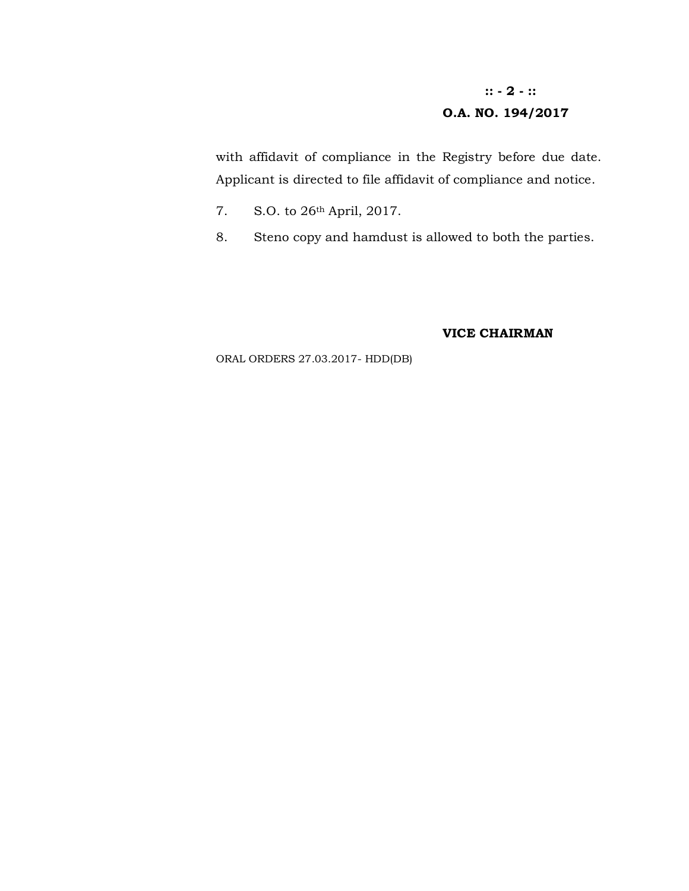# **:: - 2 - :: O.A. NO. 194/2017**

with affidavit of compliance in the Registry before due date. Applicant is directed to file affidavit of compliance and notice.

- 7. S.O. to 26th April, 2017.
- 8. Steno copy and hamdust is allowed to both the parties.

#### **VICE CHAIRMAN**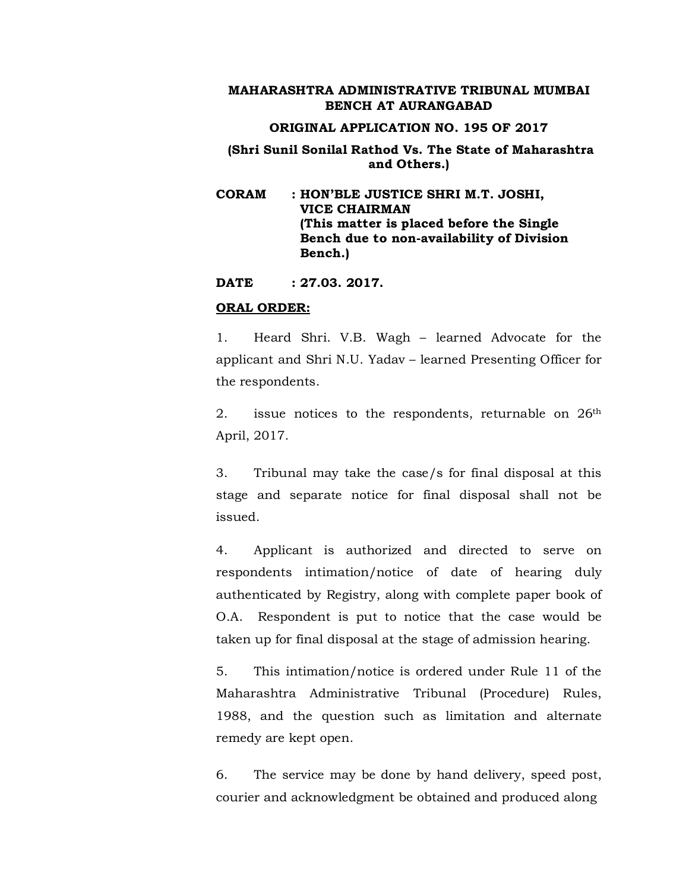#### **ORIGINAL APPLICATION NO. 195 OF 2017**

## **(Shri Sunil Sonilal Rathod Vs. The State of Maharashtra and Others.)**

**CORAM : HON'BLE JUSTICE SHRI M.T. JOSHI, VICE CHAIRMAN (This matter is placed before the Single Bench due to non-availability of Division Bench.)**

**DATE : 27.03. 2017.**

#### **ORAL ORDER:**

1. Heard Shri. V.B. Wagh – learned Advocate for the applicant and Shri N.U. Yadav – learned Presenting Officer for the respondents.

2. issue notices to the respondents, returnable on 26<sup>th</sup> April, 2017.

3. Tribunal may take the case/s for final disposal at this stage and separate notice for final disposal shall not be issued.

4. Applicant is authorized and directed to serve on respondents intimation/notice of date of hearing duly authenticated by Registry, along with complete paper book of O.A. Respondent is put to notice that the case would be taken up for final disposal at the stage of admission hearing.

5. This intimation/notice is ordered under Rule 11 of the Maharashtra Administrative Tribunal (Procedure) Rules, 1988, and the question such as limitation and alternate remedy are kept open.

6. The service may be done by hand delivery, speed post, courier and acknowledgment be obtained and produced along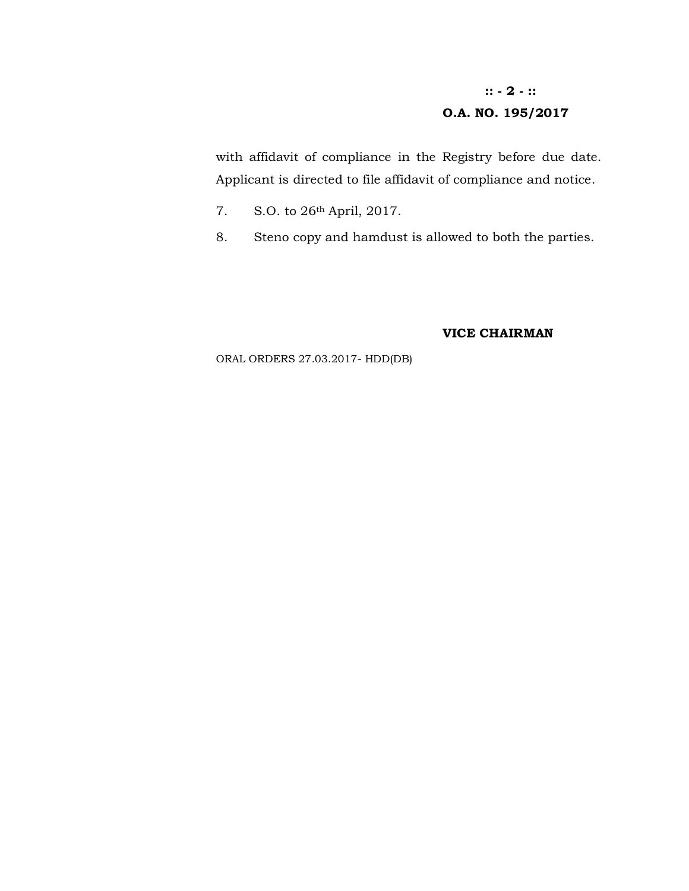# **:: - 2 - :: O.A. NO. 195/2017**

with affidavit of compliance in the Registry before due date. Applicant is directed to file affidavit of compliance and notice.

- 7. S.O. to 26th April, 2017.
- 8. Steno copy and hamdust is allowed to both the parties.

#### **VICE CHAIRMAN**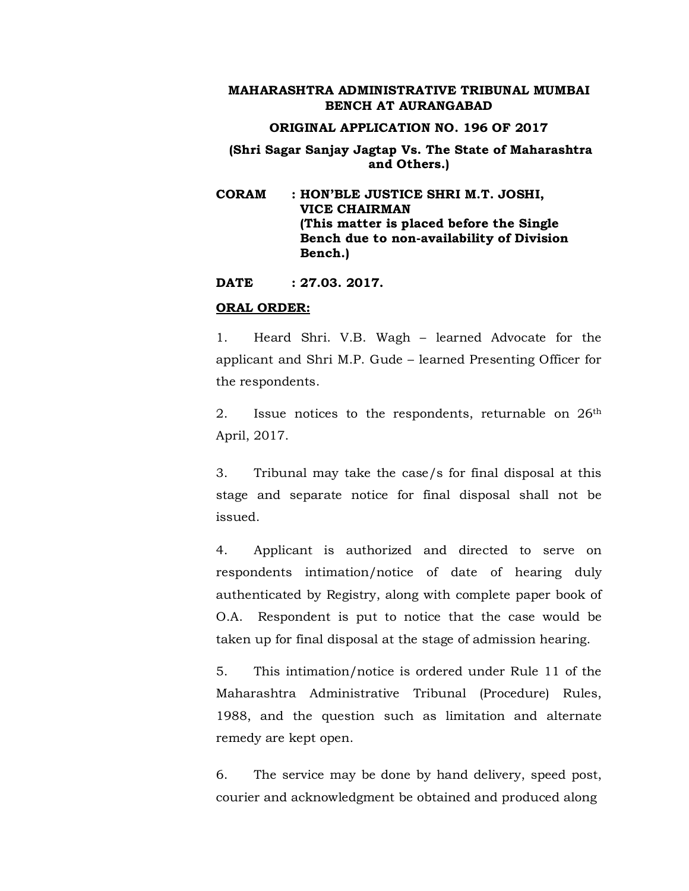#### **ORIGINAL APPLICATION NO. 196 OF 2017**

## **(Shri Sagar Sanjay Jagtap Vs. The State of Maharashtra and Others.)**

**CORAM : HON'BLE JUSTICE SHRI M.T. JOSHI, VICE CHAIRMAN (This matter is placed before the Single Bench due to non-availability of Division Bench.)**

**DATE : 27.03. 2017.**

#### **ORAL ORDER:**

1. Heard Shri. V.B. Wagh – learned Advocate for the applicant and Shri M.P. Gude – learned Presenting Officer for the respondents.

2. Issue notices to the respondents, returnable on 26<sup>th</sup> April, 2017.

3. Tribunal may take the case/s for final disposal at this stage and separate notice for final disposal shall not be issued.

4. Applicant is authorized and directed to serve on respondents intimation/notice of date of hearing duly authenticated by Registry, along with complete paper book of O.A. Respondent is put to notice that the case would be taken up for final disposal at the stage of admission hearing.

5. This intimation/notice is ordered under Rule 11 of the Maharashtra Administrative Tribunal (Procedure) Rules, 1988, and the question such as limitation and alternate remedy are kept open.

6. The service may be done by hand delivery, speed post, courier and acknowledgment be obtained and produced along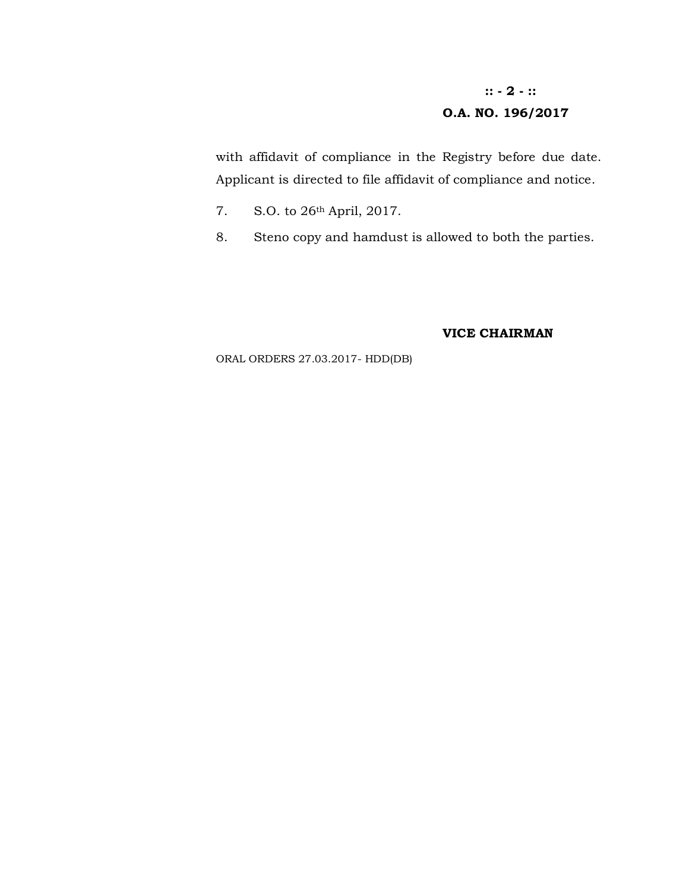# **:: - 2 - :: O.A. NO. 196/2017**

with affidavit of compliance in the Registry before due date. Applicant is directed to file affidavit of compliance and notice.

- 7. S.O. to 26th April, 2017.
- 8. Steno copy and hamdust is allowed to both the parties.

#### **VICE CHAIRMAN**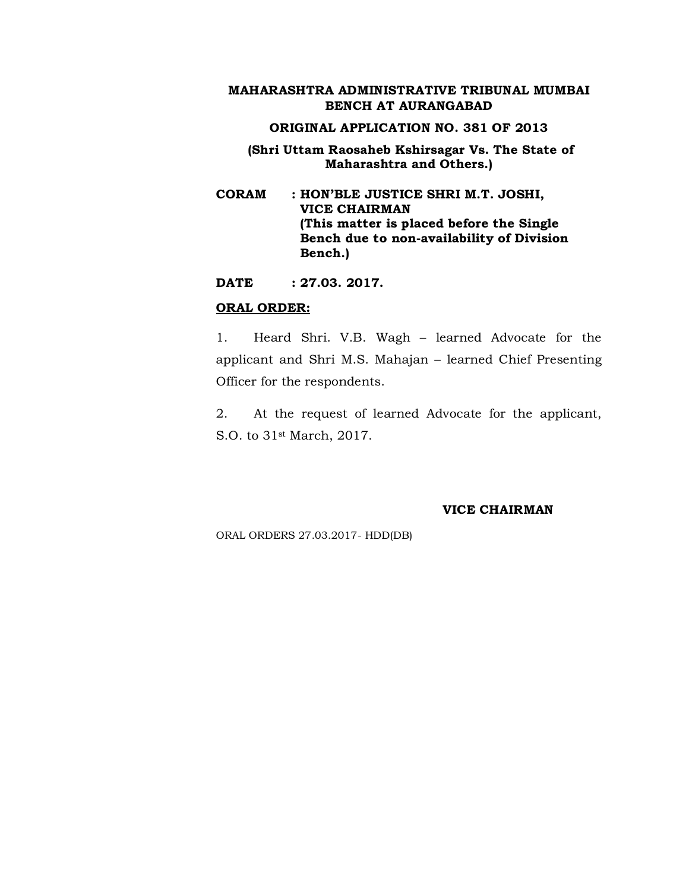#### **ORIGINAL APPLICATION NO. 381 OF 2013**

## **(Shri Uttam Raosaheb Kshirsagar Vs. The State of Maharashtra and Others.)**

**CORAM : HON'BLE JUSTICE SHRI M.T. JOSHI, VICE CHAIRMAN (This matter is placed before the Single Bench due to non-availability of Division Bench.)**

**DATE : 27.03. 2017.**

#### **ORAL ORDER:**

1. Heard Shri. V.B. Wagh – learned Advocate for the applicant and Shri M.S. Mahajan – learned Chief Presenting Officer for the respondents.

2. At the request of learned Advocate for the applicant, S.O. to 31st March, 2017.

#### **VICE CHAIRMAN**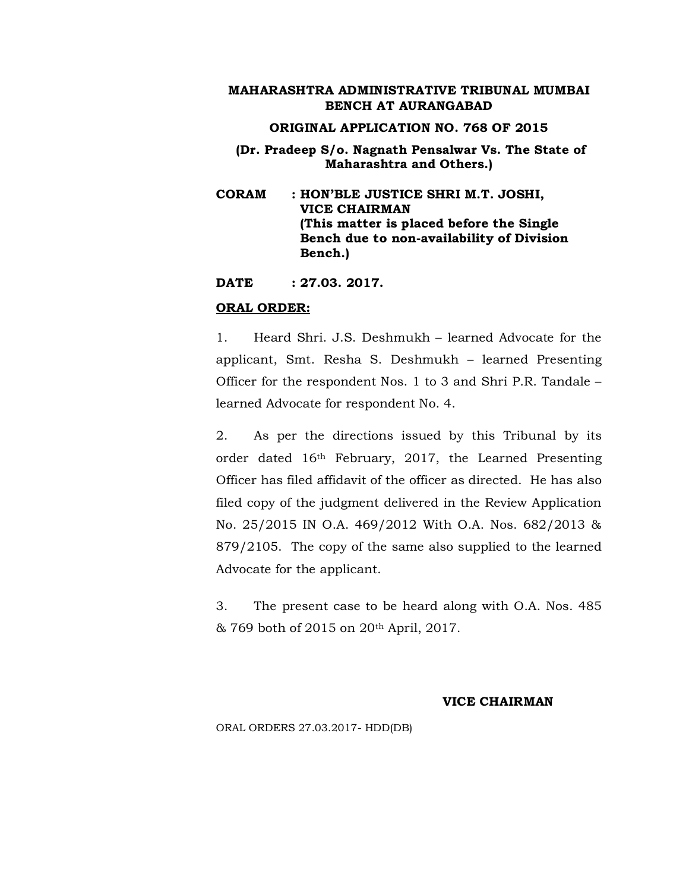#### **ORIGINAL APPLICATION NO. 768 OF 2015**

**(Dr. Pradeep S/o. Nagnath Pensalwar Vs. The State of Maharashtra and Others.)**

**CORAM : HON'BLE JUSTICE SHRI M.T. JOSHI, VICE CHAIRMAN (This matter is placed before the Single Bench due to non-availability of Division Bench.)**

**DATE : 27.03. 2017.**

#### **ORAL ORDER:**

1. Heard Shri. J.S. Deshmukh – learned Advocate for the applicant, Smt. Resha S. Deshmukh – learned Presenting Officer for the respondent Nos. 1 to 3 and Shri P.R. Tandale – learned Advocate for respondent No. 4.

2. As per the directions issued by this Tribunal by its order dated 16th February, 2017, the Learned Presenting Officer has filed affidavit of the officer as directed. He has also filed copy of the judgment delivered in the Review Application No. 25/2015 IN O.A. 469/2012 With O.A. Nos. 682/2013 & 879/2105. The copy of the same also supplied to the learned Advocate for the applicant.

3. The present case to be heard along with O.A. Nos. 485 & 769 both of 2015 on 20th April, 2017.

#### **VICE CHAIRMAN**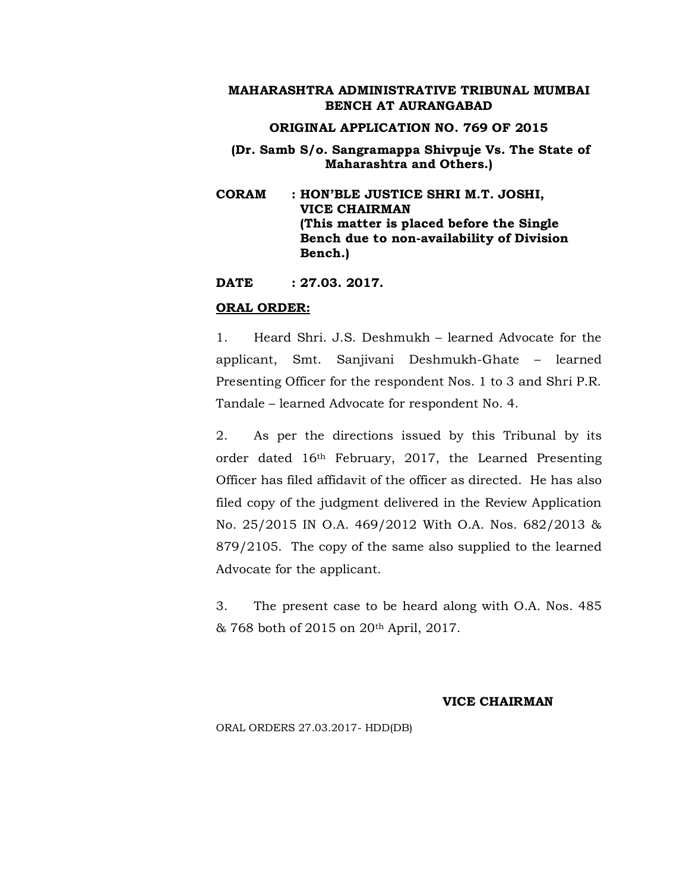## **ORIGINAL APPLICATION NO. 769 OF 2015**

**(Dr. Samb S/o. Sangramappa Shivpuje Vs. The State of Maharashtra and Others.)**

**CORAM : HON'BLE JUSTICE SHRI M.T. JOSHI, VICE CHAIRMAN (This matter is placed before the Single Bench due to non-availability of Division Bench.)**

**DATE : 27.03. 2017.**

#### **ORAL ORDER:**

1. Heard Shri. J.S. Deshmukh – learned Advocate for the applicant, Smt. Sanjivani Deshmukh-Ghate – learned Presenting Officer for the respondent Nos. 1 to 3 and Shri P.R. Tandale – learned Advocate for respondent No. 4.

2. As per the directions issued by this Tribunal by its order dated 16th February, 2017, the Learned Presenting Officer has filed affidavit of the officer as directed. He has also filed copy of the judgment delivered in the Review Application No. 25/2015 IN O.A. 469/2012 With O.A. Nos. 682/2013 & 879/2105. The copy of the same also supplied to the learned Advocate for the applicant.

3. The present case to be heard along with O.A. Nos. 485 & 768 both of 2015 on 20th April, 2017.

#### **VICE CHAIRMAN**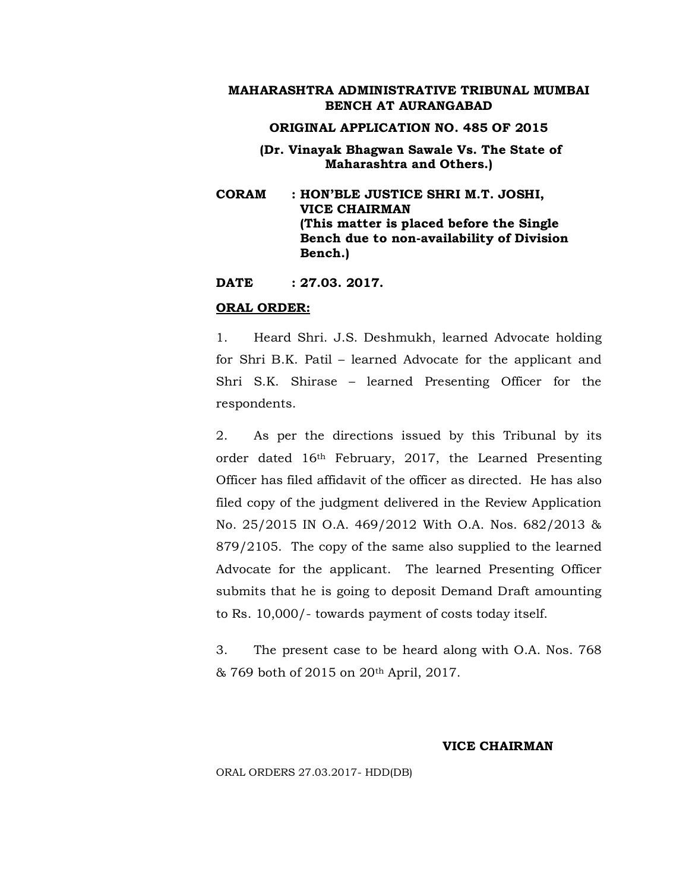#### **ORIGINAL APPLICATION NO. 485 OF 2015**

- **(Dr. Vinayak Bhagwan Sawale Vs. The State of Maharashtra and Others.)**
- **CORAM : HON'BLE JUSTICE SHRI M.T. JOSHI, VICE CHAIRMAN (This matter is placed before the Single Bench due to non-availability of Division Bench.)**

**DATE : 27.03. 2017.**

#### **ORAL ORDER:**

1. Heard Shri. J.S. Deshmukh, learned Advocate holding for Shri B.K. Patil – learned Advocate for the applicant and Shri S.K. Shirase – learned Presenting Officer for the respondents.

2. As per the directions issued by this Tribunal by its order dated 16th February, 2017, the Learned Presenting Officer has filed affidavit of the officer as directed. He has also filed copy of the judgment delivered in the Review Application No. 25/2015 IN O.A. 469/2012 With O.A. Nos. 682/2013 & 879/2105. The copy of the same also supplied to the learned Advocate for the applicant. The learned Presenting Officer submits that he is going to deposit Demand Draft amounting to Rs. 10,000/- towards payment of costs today itself.

3. The present case to be heard along with O.A. Nos. 768 & 769 both of 2015 on 20th April, 2017.

#### **VICE CHAIRMAN**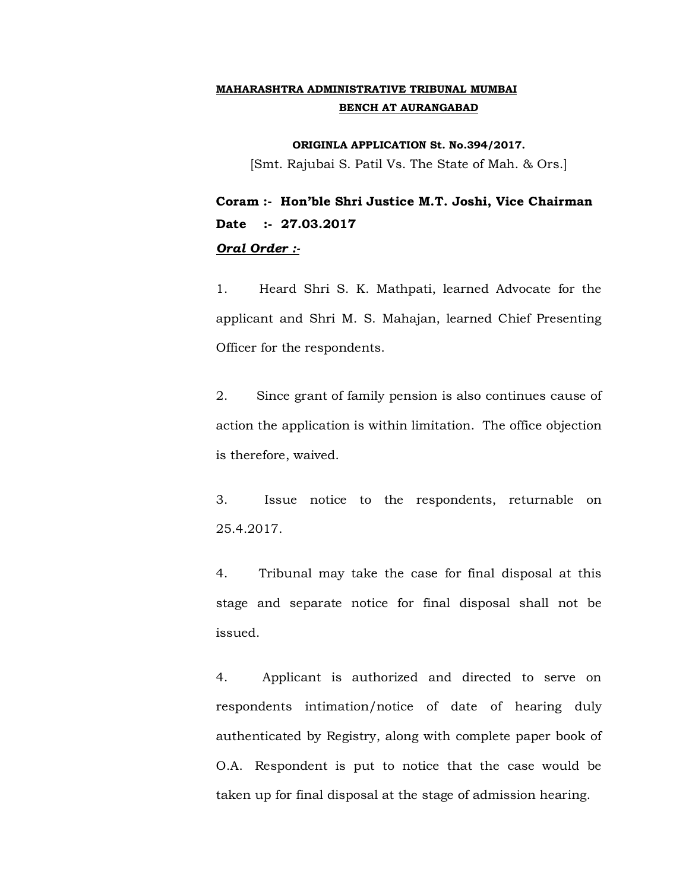**ORIGINLA APPLICATION St. No.394/2017.**

[Smt. Rajubai S. Patil Vs. The State of Mah. & Ors.]

**Coram :- Hon'ble Shri Justice M.T. Joshi, Vice Chairman Date :- 27.03.2017** *Oral Order :-*

1. Heard Shri S. K. Mathpati, learned Advocate for the applicant and Shri M. S. Mahajan, learned Chief Presenting Officer for the respondents.

2. Since grant of family pension is also continues cause of action the application is within limitation. The office objection is therefore, waived.

3. Issue notice to the respondents, returnable on 25.4.2017.

4. Tribunal may take the case for final disposal at this stage and separate notice for final disposal shall not be issued.

4. Applicant is authorized and directed to serve on respondents intimation/notice of date of hearing duly authenticated by Registry, along with complete paper book of O.A. Respondent is put to notice that the case would be taken up for final disposal at the stage of admission hearing.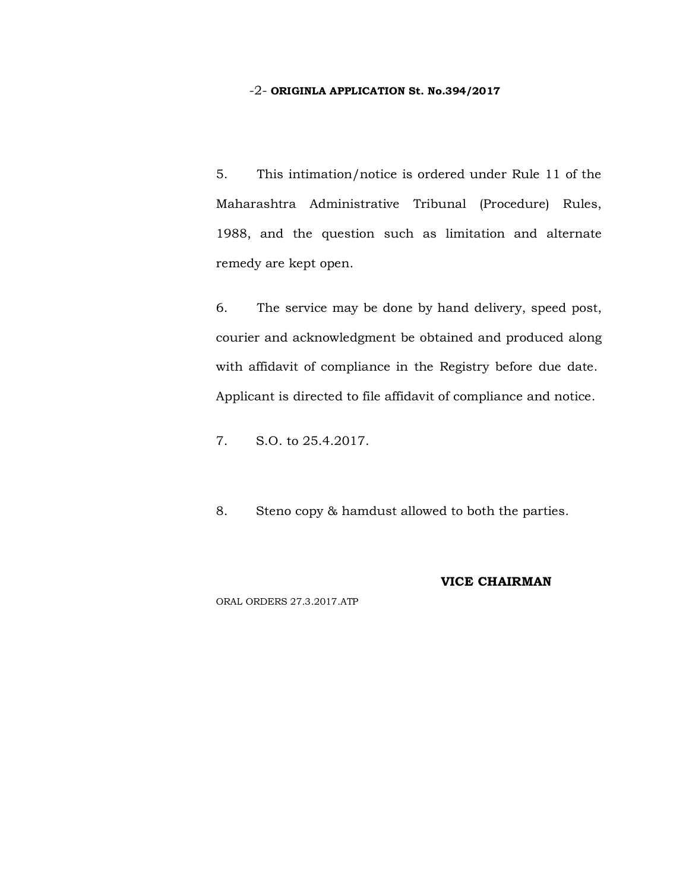#### -2- **ORIGINLA APPLICATION St. No.394/2017**

5. This intimation/notice is ordered under Rule 11 of the Maharashtra Administrative Tribunal (Procedure) Rules, 1988, and the question such as limitation and alternate remedy are kept open.

6. The service may be done by hand delivery, speed post, courier and acknowledgment be obtained and produced along with affidavit of compliance in the Registry before due date. Applicant is directed to file affidavit of compliance and notice.

7. S.O. to 25.4.2017.

8. Steno copy & hamdust allowed to both the parties.

### **VICE CHAIRMAN**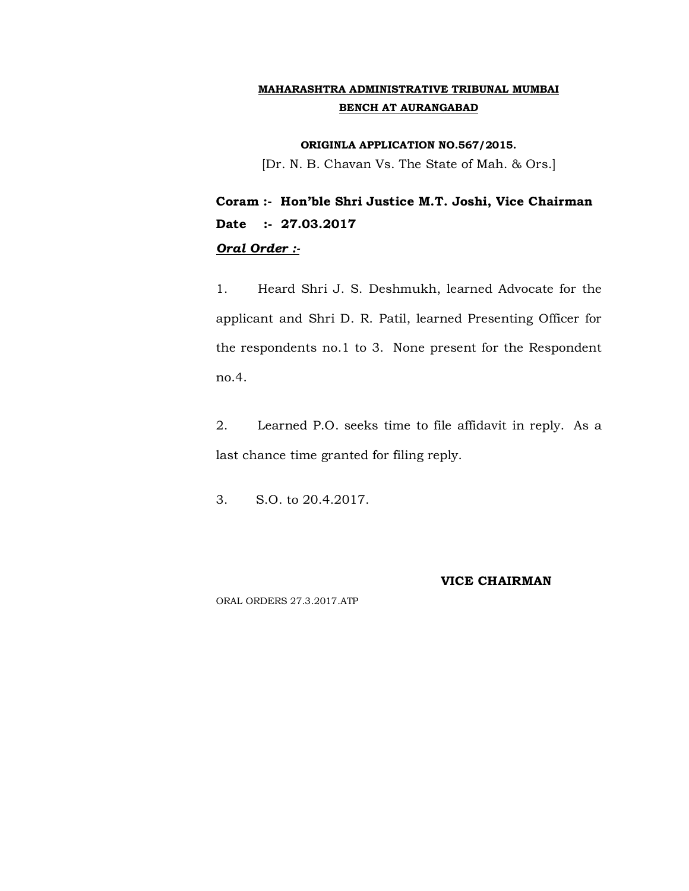**ORIGINLA APPLICATION NO.567/2015.**

[Dr. N. B. Chavan Vs. The State of Mah. & Ors.]

**Coram :- Hon'ble Shri Justice M.T. Joshi, Vice Chairman Date :- 27.03.2017** *Oral Order :-*

1. Heard Shri J. S. Deshmukh, learned Advocate for the applicant and Shri D. R. Patil, learned Presenting Officer for the respondents no.1 to 3. None present for the Respondent no.4.

2. Learned P.O. seeks time to file affidavit in reply. As a last chance time granted for filing reply.

3. S.O. to 20.4.2017.

#### **VICE CHAIRMAN**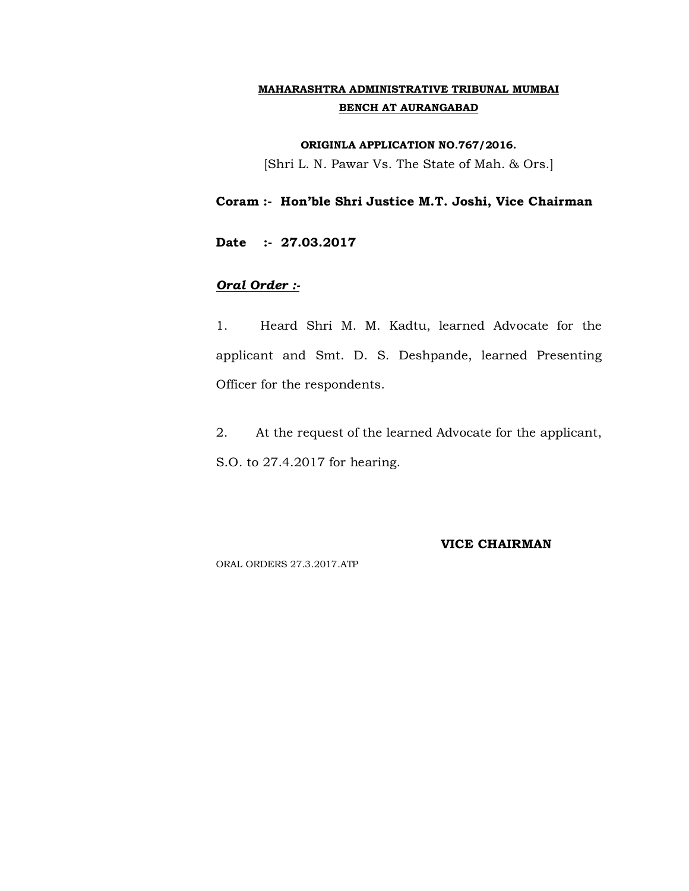#### **ORIGINLA APPLICATION NO.767/2016.**

[Shri L. N. Pawar Vs. The State of Mah. & Ors.]

**Coram :- Hon'ble Shri Justice M.T. Joshi, Vice Chairman**

**Date :- 27.03.2017**

## *Oral Order :-*

1. Heard Shri M. M. Kadtu, learned Advocate for the applicant and Smt. D. S. Deshpande, learned Presenting Officer for the respondents.

2. At the request of the learned Advocate for the applicant, S.O. to 27.4.2017 for hearing.

**VICE CHAIRMAN**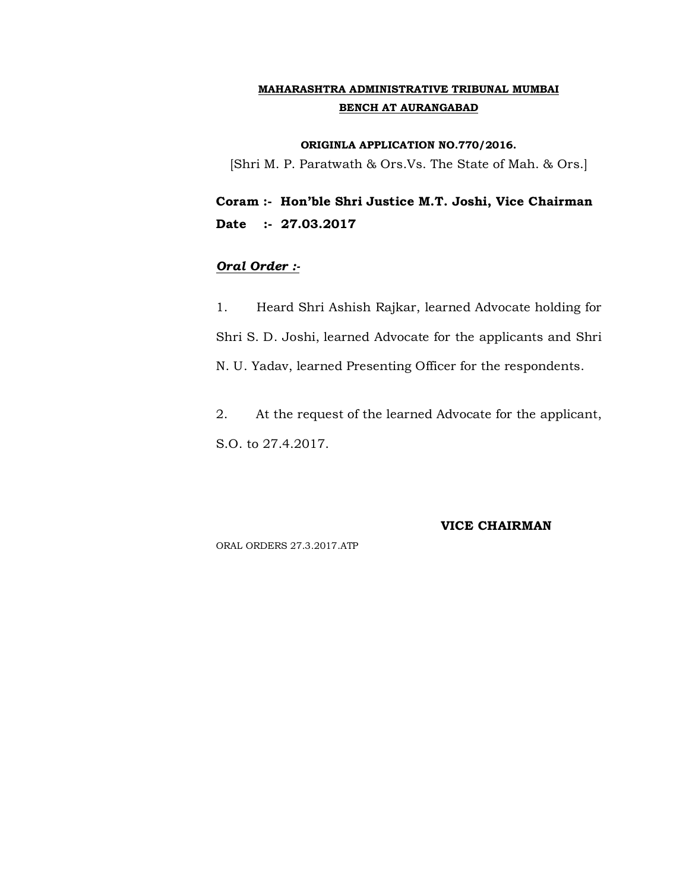#### **ORIGINLA APPLICATION NO.770/2016.**

[Shri M. P. Paratwath & Ors.Vs. The State of Mah. & Ors.]

**Coram :- Hon'ble Shri Justice M.T. Joshi, Vice Chairman Date :- 27.03.2017**

## *Oral Order :-*

1. Heard Shri Ashish Rajkar, learned Advocate holding for Shri S. D. Joshi, learned Advocate for the applicants and Shri N. U. Yadav, learned Presenting Officer for the respondents.

2. At the request of the learned Advocate for the applicant, S.O. to 27.4.2017.

#### **VICE CHAIRMAN**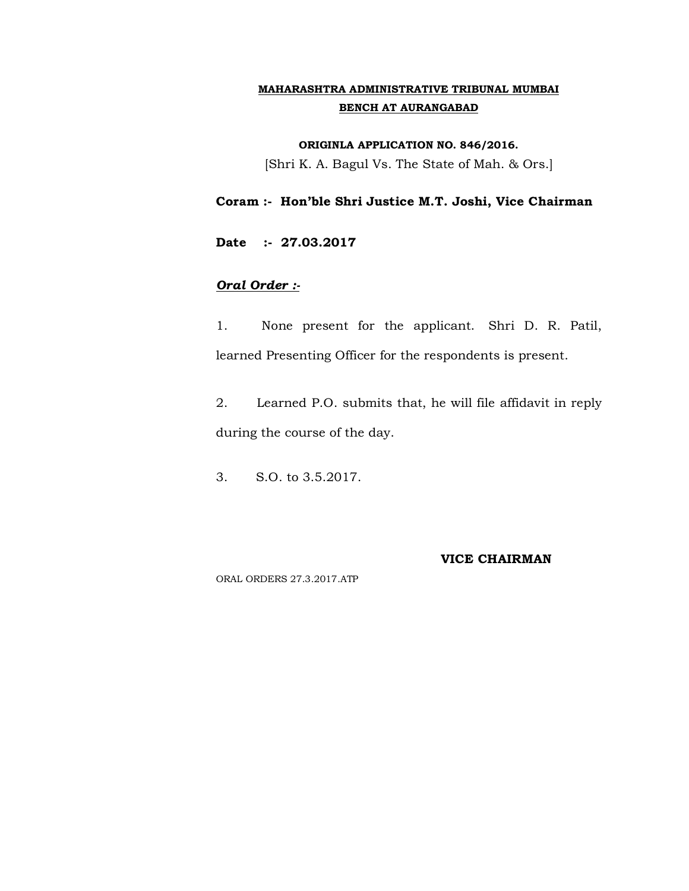#### **ORIGINLA APPLICATION NO. 846/2016.**

[Shri K. A. Bagul Vs. The State of Mah. & Ors.]

## **Coram :- Hon'ble Shri Justice M.T. Joshi, Vice Chairman**

**Date :- 27.03.2017**

## *Oral Order :-*

1. None present for the applicant. Shri D. R. Patil, learned Presenting Officer for the respondents is present.

2. Learned P.O. submits that, he will file affidavit in reply during the course of the day.

3. S.O. to 3.5.2017.

#### **VICE CHAIRMAN**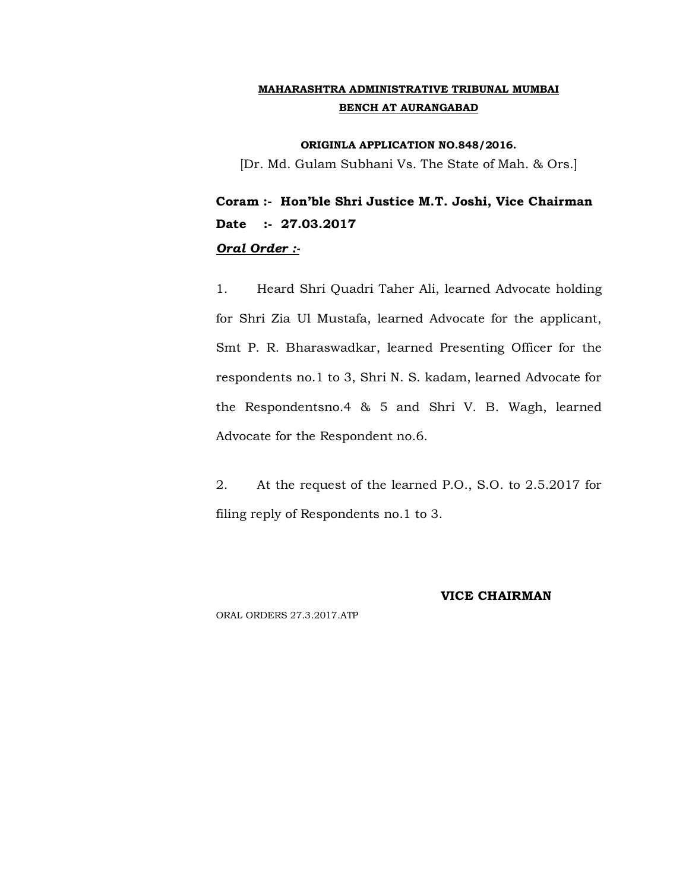**ORIGINLA APPLICATION NO.848/2016.**

[Dr. Md. Gulam Subhani Vs. The State of Mah. & Ors.]

**Coram :- Hon'ble Shri Justice M.T. Joshi, Vice Chairman Date :- 27.03.2017** *Oral Order :-*

1. Heard Shri Quadri Taher Ali, learned Advocate holding for Shri Zia Ul Mustafa, learned Advocate for the applicant, Smt P. R. Bharaswadkar, learned Presenting Officer for the respondents no.1 to 3, Shri N. S. kadam, learned Advocate for the Respondentsno.4 & 5 and Shri V. B. Wagh, learned Advocate for the Respondent no.6.

2. At the request of the learned P.O., S.O. to 2.5.2017 for filing reply of Respondents no.1 to 3.

#### **VICE CHAIRMAN**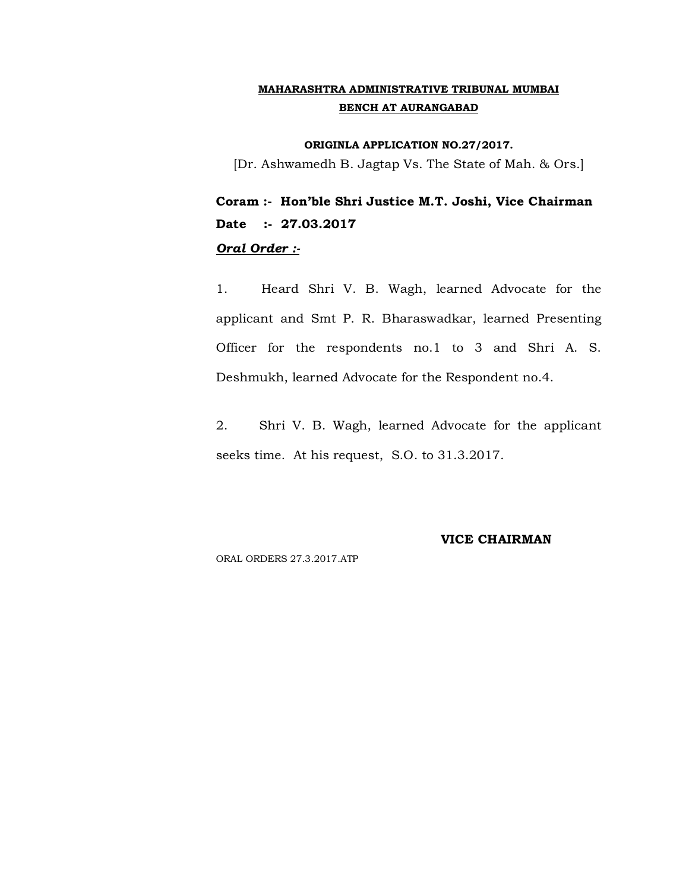#### **ORIGINLA APPLICATION NO.27/2017.**

[Dr. Ashwamedh B. Jagtap Vs. The State of Mah. & Ors.]

**Coram :- Hon'ble Shri Justice M.T. Joshi, Vice Chairman Date :- 27.03.2017** *Oral Order :-*

1. Heard Shri V. B. Wagh, learned Advocate for the applicant and Smt P. R. Bharaswadkar, learned Presenting Officer for the respondents no.1 to 3 and Shri A. S. Deshmukh, learned Advocate for the Respondent no.4.

2. Shri V. B. Wagh, learned Advocate for the applicant seeks time. At his request, S.O. to 31.3.2017.

#### **VICE CHAIRMAN**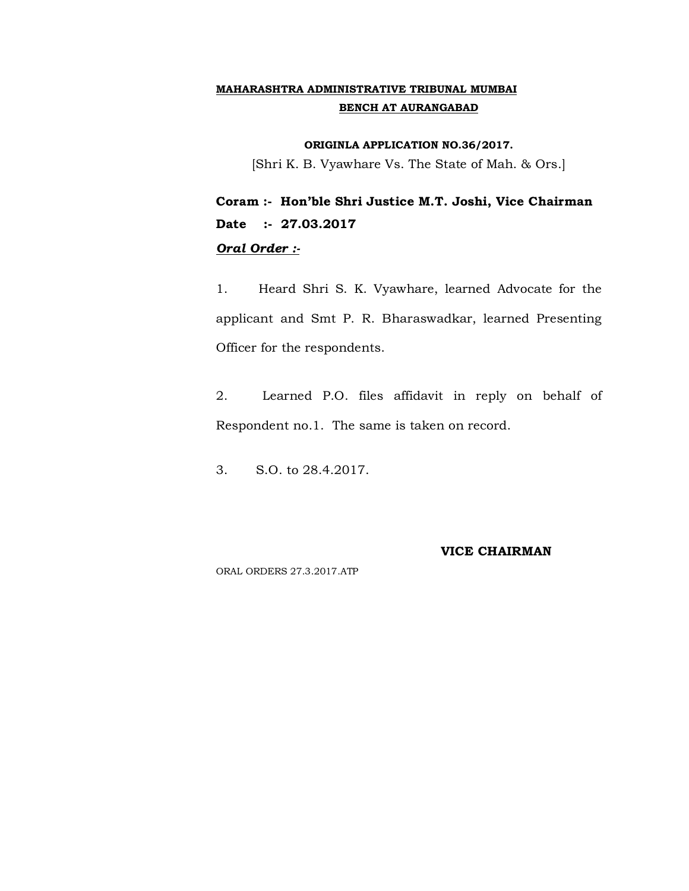#### **ORIGINLA APPLICATION NO.36/2017.**

[Shri K. B. Vyawhare Vs. The State of Mah. & Ors.]

**Coram :- Hon'ble Shri Justice M.T. Joshi, Vice Chairman Date :- 27.03.2017** *Oral Order :-*

1. Heard Shri S. K. Vyawhare, learned Advocate for the applicant and Smt P. R. Bharaswadkar, learned Presenting Officer for the respondents.

2. Learned P.O. files affidavit in reply on behalf of Respondent no.1. The same is taken on record.

3. S.O. to 28.4.2017.

#### **VICE CHAIRMAN**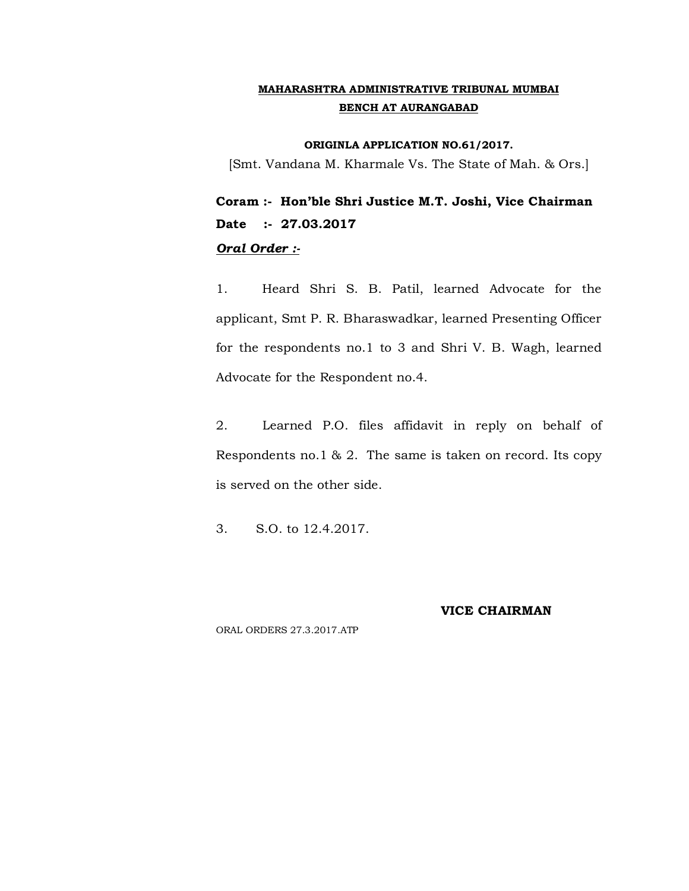#### **ORIGINLA APPLICATION NO.61/2017.**

[Smt. Vandana M. Kharmale Vs. The State of Mah. & Ors.]

**Coram :- Hon'ble Shri Justice M.T. Joshi, Vice Chairman Date :- 27.03.2017** *Oral Order :-*

1. Heard Shri S. B. Patil, learned Advocate for the applicant, Smt P. R. Bharaswadkar, learned Presenting Officer for the respondents no.1 to 3 and Shri V. B. Wagh, learned Advocate for the Respondent no.4.

2. Learned P.O. files affidavit in reply on behalf of Respondents no.1 & 2. The same is taken on record. Its copy is served on the other side.

3. S.O. to 12.4.2017.

#### **VICE CHAIRMAN**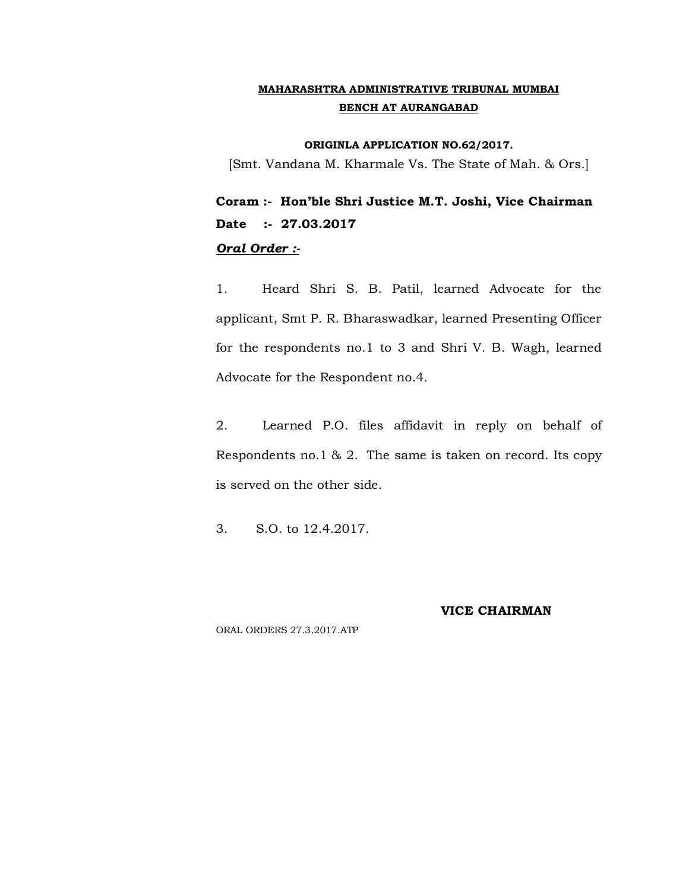#### **ORIGINLA APPLICATION NO.62/2017.**

[Smt. Vandana M. Kharmale Vs. The State of Mah. & Ors.]

**Coram :- Hon'ble Shri Justice M.T. Joshi, Vice Chairman Date :- 27.03.2017** *Oral Order :-*

1. Heard Shri S. B. Patil, learned Advocate for the applicant, Smt P. R. Bharaswadkar, learned Presenting Officer for the respondents no.1 to 3 and Shri V. B. Wagh, learned Advocate for the Respondent no.4.

2. Learned P.O. files affidavit in reply on behalf of Respondents no.1 & 2. The same is taken on record. Its copy is served on the other side.

3. S.O. to 12.4.2017.

#### **VICE CHAIRMAN**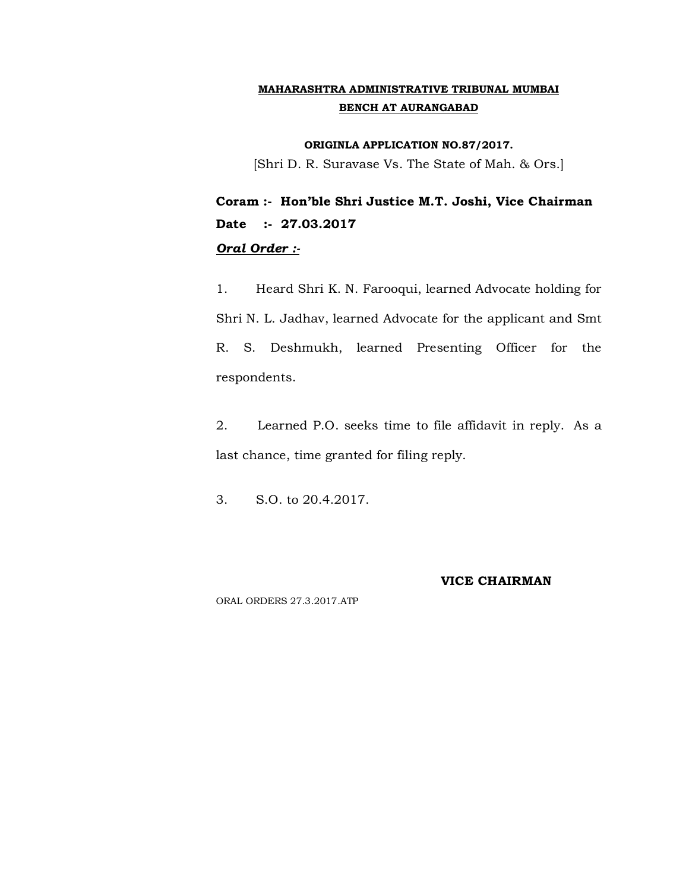#### **ORIGINLA APPLICATION NO.87/2017.**

[Shri D. R. Suravase Vs. The State of Mah. & Ors.]

**Coram :- Hon'ble Shri Justice M.T. Joshi, Vice Chairman Date :- 27.03.2017** *Oral Order :-*

1. Heard Shri K. N. Farooqui, learned Advocate holding for Shri N. L. Jadhav, learned Advocate for the applicant and Smt R. S. Deshmukh, learned Presenting Officer for the respondents.

2. Learned P.O. seeks time to file affidavit in reply. As a last chance, time granted for filing reply.

3. S.O. to 20.4.2017.

#### **VICE CHAIRMAN**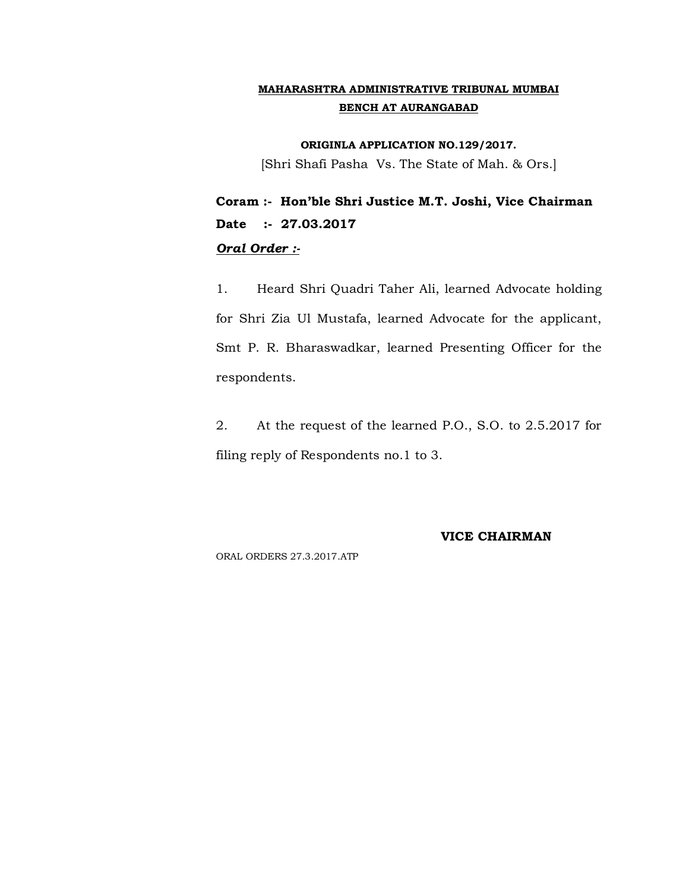**ORIGINLA APPLICATION NO.129/2017.**

[Shri Shafi Pasha Vs. The State of Mah. & Ors.]

**Coram :- Hon'ble Shri Justice M.T. Joshi, Vice Chairman Date :- 27.03.2017** *Oral Order :-*

1. Heard Shri Quadri Taher Ali, learned Advocate holding for Shri Zia Ul Mustafa, learned Advocate for the applicant, Smt P. R. Bharaswadkar, learned Presenting Officer for the respondents.

2. At the request of the learned P.O., S.O. to 2.5.2017 for filing reply of Respondents no.1 to 3.

**VICE CHAIRMAN**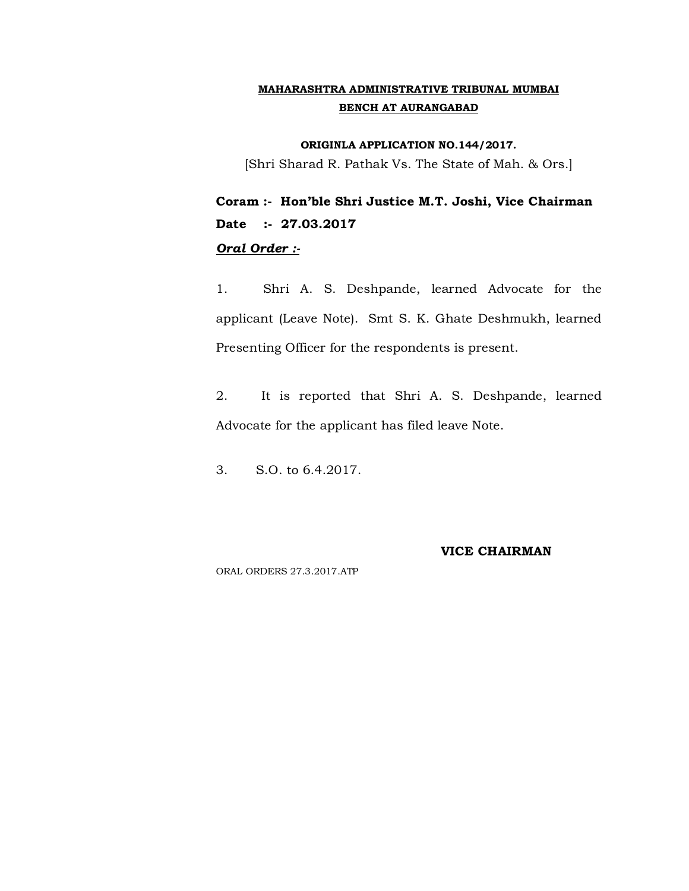**ORIGINLA APPLICATION NO.144/2017.**

[Shri Sharad R. Pathak Vs. The State of Mah. & Ors.]

**Coram :- Hon'ble Shri Justice M.T. Joshi, Vice Chairman Date :- 27.03.2017** *Oral Order :-*

1. Shri A. S. Deshpande, learned Advocate for the applicant (Leave Note). Smt S. K. Ghate Deshmukh, learned Presenting Officer for the respondents is present.

2. It is reported that Shri A. S. Deshpande, learned Advocate for the applicant has filed leave Note.

3. S.O. to 6.4.2017.

#### **VICE CHAIRMAN**